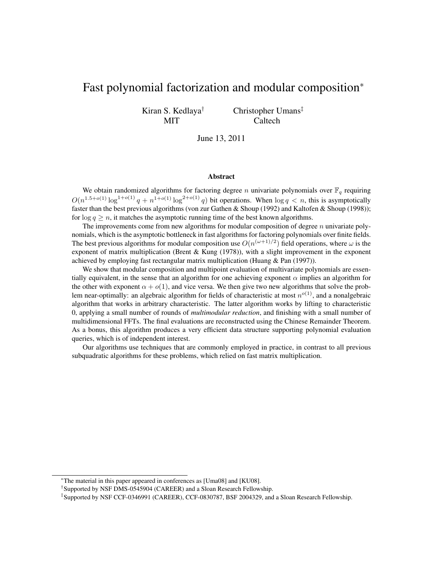# Fast polynomial factorization and modular composition*<sup>∗</sup>*

Kiran S. Kedlaya*†* **MIT** 

Christopher Umans*‡* Caltech

June 13, 2011

#### Abstract

We obtain randomized algorithms for factoring degree *n* univariate polynomials over  $\mathbb{F}_q$  requiring  $O(n^{1.5+o(1)} \log^{1+o(1)} q + n^{1+o(1)} \log^{2+o(1)} q)$  bit operations. When  $\log q < n$ , this is asymptotically faster than the best previous algorithms (von zur Gathen & Shoup (1992) and Kaltofen & Shoup (1998)); for  $\log q > n$ , it matches the asymptotic running time of the best known algorithms.

The improvements come from new algorithms for modular composition of degree *n* univariate polynomials, which is the asymptotic bottleneck in fast algorithms for factoring polynomials over finite fields. The best previous algorithms for modular composition use  $O(n^{(\omega+1)/2})$  field operations, where  $\omega$  is the exponent of matrix multiplication (Brent & Kung (1978)), with a slight improvement in the exponent achieved by employing fast rectangular matrix multiplication (Huang & Pan (1997)).

We show that modular composition and multipoint evaluation of multivariate polynomials are essentially equivalent, in the sense that an algorithm for one achieving exponent  $\alpha$  implies an algorithm for the other with exponent  $\alpha + o(1)$ , and vice versa. We then give two new algorithms that solve the problem near-optimally: an algebraic algorithm for fields of characteristic at most  $n^{o(1)}$ , and a nonalgebraic algorithm that works in arbitrary characteristic. The latter algorithm works by lifting to characteristic 0, applying a small number of rounds of *multimodular reduction*, and finishing with a small number of multidimensional FFTs. The final evaluations are reconstructed using the Chinese Remainder Theorem. As a bonus, this algorithm produces a very efficient data structure supporting polynomial evaluation queries, which is of independent interest.

Our algorithms use techniques that are commonly employed in practice, in contrast to all previous subquadratic algorithms for these problems, which relied on fast matrix multiplication.

*<sup>∗</sup>*The material in this paper appeared in conferences as [Uma08] and [KU08].

*<sup>†</sup>* Supported by NSF DMS-0545904 (CAREER) and a Sloan Research Fellowship.

*<sup>‡</sup>* Supported by NSF CCF-0346991 (CAREER), CCF-0830787, BSF 2004329, and a Sloan Research Fellowship.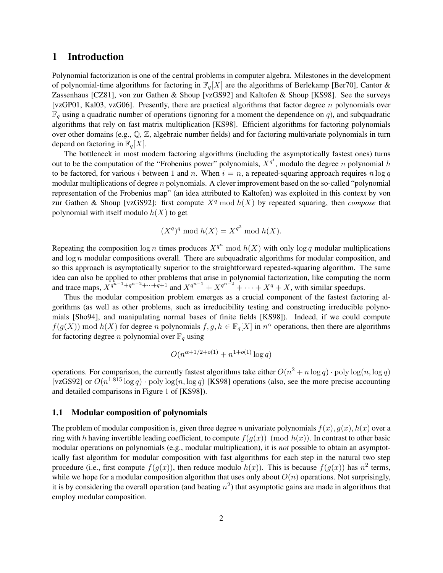# 1 Introduction

Polynomial factorization is one of the central problems in computer algebra. Milestones in the development of polynomial-time algorithms for factoring in  $\mathbb{F}_q[X]$  are the algorithms of Berlekamp [Ber70], Cantor & Zassenhaus [CZ81], von zur Gathen & Shoup [vzGS92] and Kaltofen & Shoup [KS98]. See the surveys [vzGP01, Kal03, vzG06]. Presently, there are practical algorithms that factor degree *n* polynomials over  $\mathbb{F}_q$  using a quadratic number of operations (ignoring for a moment the dependence on *q*), and subquadratic algorithms that rely on fast matrix multiplication [KS98]. Efficient algorithms for factoring polynomials over other domains (e.g., Q, Z, algebraic number fields) and for factoring multivariate polynomials in turn depend on factoring in  $\mathbb{F}_q[X]$ .

The bottleneck in most modern factoring algorithms (including the asymptotically fastest ones) turns out to be the computation of the "Frobenius power" polynomials,  $X^{q^i}$ , modulo the degree *n* polynomial *h* to be factored, for various *i* between 1 and *n*. When  $i = n$ , a repeated-squaring approach requires  $n \log q$ modular multiplications of degree *n* polynomials. A clever improvement based on the so-called "polynomial representation of the Frobenius map" (an idea attributed to Kaltofen) was exploited in this context by von zur Gathen & Shoup [vzGS92]: first compute  $X<sup>q</sup>$  mod  $h(X)$  by repeated squaring, then *compose* that polynomial with itself modulo  $h(X)$  to get

$$
(X^q)^q \bmod h(X) = X^{q^2} \bmod h(X).
$$

Repeating the composition  $\log n$  times produces  $X^{q^n}$  mod  $h(X)$  with only  $\log q$  modular multiplications and  $\log n$  modular compositions overall. There are subquadratic algorithms for modular composition, and so this approach is asymptotically superior to the straightforward repeated-squaring algorithm. The same idea can also be applied to other problems that arise in polynomial factorization, like computing the norm and trace maps,  $X^{q^{n-1}+q^{n-2}+\cdots+q+1}$  and  $X^{q^{n-1}}+X^{q^{n-2}}+\cdots+X^q+X$ , with similar speedups.

Thus the modular composition problem emerges as a crucial component of the fastest factoring algorithms (as well as other problems, such as irreducibility testing and constructing irreducible polynomials [Sho94], and manipulating normal bases of finite fields [KS98]). Indeed, if we could compute  $f(g(X)) \mod h(X)$  for degree *n* polynomials  $f, g, h \in \mathbb{F}_q[X]$  in  $n^{\alpha}$  operations, then there are algorithms for factoring degree *n* polynomial over  $\mathbb{F}_q$  using

$$
O(n^{\alpha+1/2+o(1)} + n^{1+o(1)}\log q)
$$

operations. For comparison, the currently fastest algorithms take either  $O(n^2 + n \log q) \cdot \text{poly}\log(n, \log q)$ [vzGS92] or  $O(n^{1.815} \log q) \cdot \text{poly}\log(n, \log q)$  [KS98] operations (also, see the more precise accounting and detailed comparisons in Figure 1 of [KS98]).

### 1.1 Modular composition of polynomials

The problem of modular composition is, given three degree *n* univariate polynomials  $f(x)$ ,  $g(x)$ ,  $h(x)$  over a ring with *h* having invertible leading coefficient, to compute  $f(g(x))$  (mod  $h(x)$ ). In contrast to other basic modular operations on polynomials (e.g., modular multiplication), it is *not* possible to obtain an asymptotically fast algorithm for modular composition with fast algorithms for each step in the natural two step procedure (i.e., first compute  $f(g(x))$ , then reduce modulo  $h(x)$ ). This is because  $f(g(x))$  has  $n^2$  terms, while we hope for a modular composition algorithm that uses only about  $O(n)$  operations. Not surprisingly, it is by considering the overall operation (and beating *n* 2 ) that asymptotic gains are made in algorithms that employ modular composition.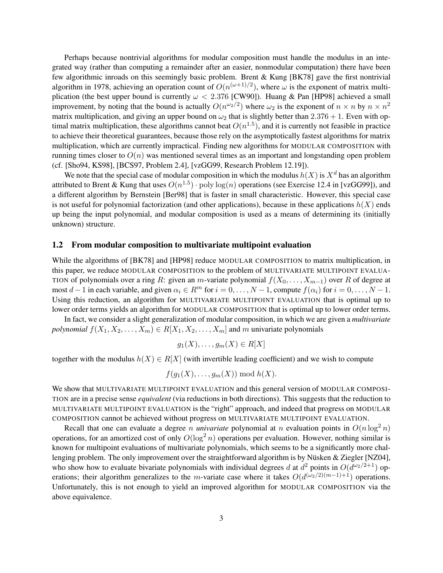Perhaps because nontrivial algorithms for modular composition must handle the modulus in an integrated way (rather than computing a remainder after an easier, nonmodular computation) there have been few algorithmic inroads on this seemingly basic problem. Brent & Kung [BK78] gave the first nontrivial algorithm in 1978, achieving an operation count of  $O(n^{(\omega+1)/2})$ , where  $\omega$  is the exponent of matrix multiplication (the best upper bound is currently *ω <* 2*.*376 [CW90]). Huang & Pan [HP98] achieved a small improvement, by noting that the bound is actually  $O(n^{\omega_2/2})$  where  $\omega_2$  is the exponent of  $n \times n$  by  $n \times n^2$ matrix multiplication, and giving an upper bound on  $\omega_2$  that is slightly better than 2.376 + 1. Even with optimal matrix multiplication, these algorithms cannot beat  $O(n^{1.5})$ , and it is currently not feasible in practice to achieve their theoretical guarantees, because those rely on the asymptotically fastest algorithms for matrix multiplication, which are currently impractical. Finding new algorithms for MODULAR COMPOSITION with running times closer to  $O(n)$  was mentioned several times as an important and longstanding open problem (cf. [Sho94, KS98], [BCS97, Problem 2.4], [vzGG99, Research Problem 12.19]).

We note that the special case of modular composition in which the modulus  $h(X)$  is  $X^d$  has an algorithm attributed to Brent & Kung that uses  $O(n^{1.5}) \cdot \text{poly}\log(n)$  operations (see Exercise 12.4 in [vzGG99]), and a different algorithm by Bernstein [Ber98] that is faster in small characteristic. However, this special case is not useful for polynomial factorization (and other applications), because in these applications  $h(X)$  ends up being the input polynomial, and modular composition is used as a means of determining its (initially unknown) structure.

#### 1.2 From modular composition to multivariate multipoint evaluation

While the algorithms of [BK78] and [HP98] reduce MODULAR COMPOSITION to matrix multiplication, in this paper, we reduce MODULAR COMPOSITION to the problem of MULTIVARIATE MULTIPOINT EVALUA-TION of polynomials over a ring *R*: given an *m*-variate polynomial *f*(*X*0*, . . . , Xm−*1) over *R* of degree at most *d* − 1 in each variable, and given  $\alpha_i \in R^m$  for  $i = 0, \ldots, N - 1$ , compute  $f(\alpha_i)$  for  $i = 0, \ldots, N - 1$ . Using this reduction, an algorithm for MULTIVARIATE MULTIPOINT EVALUATION that is optimal up to lower order terms yields an algorithm for MODULAR COMPOSITION that is optimal up to lower order terms.

In fact, we consider a slight generalization of modular composition, in which we are given a *multivariate polynomial*  $f(X_1, X_2, \ldots, X_m) \in R[X_1, X_2, \ldots, X_m]$  and *m* univariate polynomials

$$
g_1(X),\ldots,g_m(X)\in R[X]
$$

together with the modulus  $h(X) \in R[X]$  (with invertible leading coefficient) and we wish to compute

$$
f(g_1(X),\ldots,g_m(X)) \bmod h(X).
$$

We show that MULTIVARIATE MULTIPOINT EVALUATION and this general version of MODULAR COMPOSI-TION are in a precise sense *equivalent* (via reductions in both directions). This suggests that the reduction to MULTIVARIATE MULTIPOINT EVALUATION is the "right" approach, and indeed that progress on MODULAR COMPOSITION cannot be achieved without progress on MULTIVARIATE MULTIPOINT EVALUATION.

Recall that one can evaluate a degree *n univariate* polynomial at *n* evaluation points in  $O(n \log^2 n)$ operations, for an amortized cost of only  $O(\log^2 n)$  operations per evaluation. However, nothing similar is known for multipoint evaluations of multivariate polynomials, which seems to be a significantly more challenging problem. The only improvement over the straightforward algorithm is by Nüsken & Ziegler [NZ04], who show how to evaluate bivariate polynomials with individual degrees *d* at  $d^2$  points in  $O(d^{\omega_2/2+1})$  operations; their algorithm generalizes to the *m*-variate case where it takes  $O(d^{(\omega_2/2)(m-1)+1})$  operations. Unfortunately, this is not enough to yield an improved algorithm for MODULAR COMPOSITION via the above equivalence.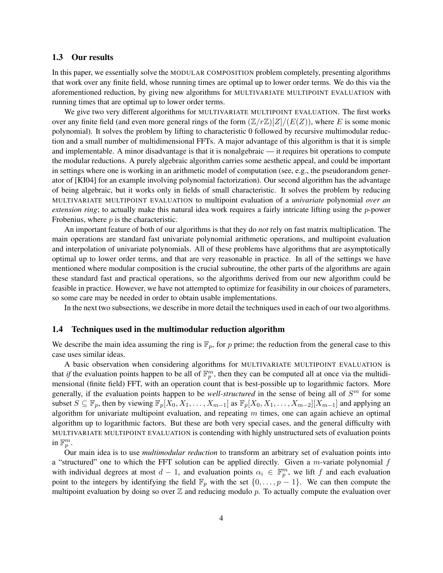### 1.3 Our results

In this paper, we essentially solve the MODULAR COMPOSITION problem completely, presenting algorithms that work over any finite field, whose running times are optimal up to lower order terms. We do this via the aforementioned reduction, by giving new algorithms for MULTIVARIATE MULTIPOINT EVALUATION with running times that are optimal up to lower order terms.

We give two very different algorithms for MULTIVARIATE MULTIPOINT EVALUATION. The first works over any finite field (and even more general rings of the form  $(\mathbb{Z}/r\mathbb{Z})[Z]/(E(Z))$ , where *E* is some monic polynomial). It solves the problem by lifting to characteristic 0 followed by recursive multimodular reduction and a small number of multidimensional FFTs. A major advantage of this algorithm is that it is simple and implementable. A minor disadvantage is that it is nonalgebraic — it requires bit operations to compute the modular reductions. A purely algebraic algorithm carries some aesthetic appeal, and could be important in settings where one is working in an arithmetic model of computation (see, e.g., the pseudorandom generator of [KI04] for an example involving polynomial factorization). Our second algorithm has the advantage of being algebraic, but it works only in fields of small characteristic. It solves the problem by reducing MULTIVARIATE MULTIPOINT EVALUATION to multipoint evaluation of a *univariate* polynomial *over an extension ring*; to actually make this natural idea work requires a fairly intricate lifting using the *p*-power Frobenius, where *p* is the characteristic.

An important feature of both of our algorithms is that they do *not* rely on fast matrix multiplication. The main operations are standard fast univariate polynomial arithmetic operations, and multipoint evaluation and interpolation of univariate polynomials. All of these problems have algorithms that are asymptotically optimal up to lower order terms, and that are very reasonable in practice. In all of the settings we have mentioned where modular composition is the crucial subroutine, the other parts of the algorithms are again these standard fast and practical operations, so the algorithms derived from our new algorithm could be feasible in practice. However, we have not attempted to optimize for feasibility in our choices of parameters, so some care may be needed in order to obtain usable implementations.

In the next two subsections, we describe in more detail the techniques used in each of our two algorithms.

### 1.4 Techniques used in the multimodular reduction algorithm

We describe the main idea assuming the ring is  $\mathbb{F}_p$ , for p prime; the reduction from the general case to this case uses similar ideas.

A basic observation when considering algorithms for MULTIVARIATE MULTIPOINT EVALUATION is that *if* the evaluation points happen to be all of  $\mathbb{F}_p^m$ , then they can be computed all at once via the multidimensional (finite field) FFT, with an operation count that is best-possible up to logarithmic factors. More generally, if the evaluation points happen to be *well-structured* in the sense of being all of *S <sup>m</sup>* for some subset  $S \subseteq \mathbb{F}_p$ , then by viewing  $\mathbb{F}_p[X_0, X_1, \ldots, X_{m-1}]$  as  $\mathbb{F}_p[X_0, X_1, \ldots, X_{m-2}][X_{m-1}]$  and applying an algorithm for univariate multipoint evaluation, and repeating *m* times, one can again achieve an optimal algorithm up to logarithmic factors. But these are both very special cases, and the general difficulty with MULTIVARIATE MULTIPOINT EVALUATION is contending with highly unstructured sets of evaluation points in  $\mathbb{F}_p^m$ .

Our main idea is to use *multimodular reduction* to transform an arbitrary set of evaluation points into a "structured" one to which the FFT solution can be applied directly. Given a *m*-variate polynomial *f* with individual degrees at most  $d-1$ , and evaluation points  $\alpha_i \in \mathbb{F}_p^m$ , we lift f and each evaluation point to the integers by identifying the field  $\mathbb{F}_p$  with the set  $\{0, \ldots, p-1\}$ . We can then compute the multipoint evaluation by doing so over  $\mathbb Z$  and reducing modulo  $p$ . To actually compute the evaluation over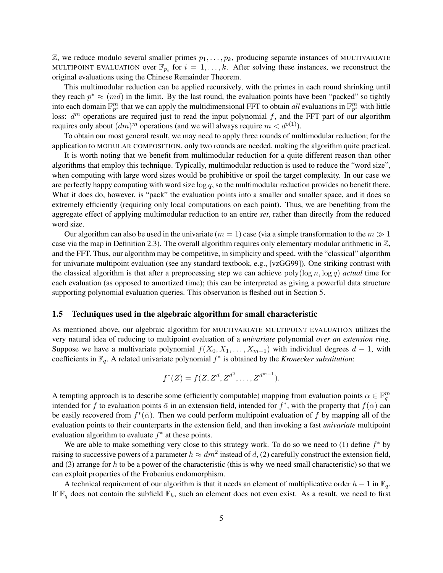$\mathbb{Z}$ , we reduce modulo several smaller primes  $p_1, \ldots, p_k$ , producing separate instances of MULTIVARIATE MULTIPOINT EVALUATION over  $\mathbb{F}_{p_i}$  for  $i = 1, \ldots, k$ . After solving these instances, we reconstruct the original evaluations using the Chinese Remainder Theorem.

This multimodular reduction can be applied recursively, with the primes in each round shrinking until they reach  $p^* \approx (md)$  in the limit. By the last round, the evaluation points have been "packed" so tightly into each domain  $\mathbb{F}_{p^*}^m$  that we can apply the multidimensional FFT to obtain *all* evaluations in  $\mathbb{F}_{p^*}^m$  with little loss:  $d^m$  operations are required just to read the input polynomial f, and the FFT part of our algorithm requires only about  $(dm)^m$  operations (and we will always require  $m < d^{o(1)}$ ).

To obtain our most general result, we may need to apply three rounds of multimodular reduction; for the application to MODULAR COMPOSITION, only two rounds are needed, making the algorithm quite practical.

It is worth noting that we benefit from multimodular reduction for a quite different reason than other algorithms that employ this technique. Typically, multimodular reduction is used to reduce the "word size", when computing with large word sizes would be prohibitive or spoil the target complexity. In our case we are perfectly happy computing with word size log *q*, so the multimodular reduction provides no benefit there. What it does do, however, is "pack" the evaluation points into a smaller and smaller space, and it does so extremely efficiently (requiring only local computations on each point). Thus, we are benefiting from the aggregate effect of applying multimodular reduction to an entire *set*, rather than directly from the reduced word size.

Our algorithm can also be used in the univariate  $(m = 1)$  case (via a simple transformation to the  $m \gg 1$ case via the map in Definition 2.3). The overall algorithm requires only elementary modular arithmetic in  $\mathbb{Z}$ , and the FFT. Thus, our algorithm may be competitive, in simplicity and speed, with the "classical" algorithm for univariate multipoint evaluation (see any standard textbook, e.g., [vzGG99]). One striking contrast with the classical algorithm is that after a preprocessing step we can achieve  $\text{poly}(\log n, \log q)$  *actual* time for each evaluation (as opposed to amortized time); this can be interpreted as giving a powerful data structure supporting polynomial evaluation queries. This observation is fleshed out in Section 5.

### 1.5 Techniques used in the algebraic algorithm for small characteristic

As mentioned above, our algebraic algorithm for MULTIVARIATE MULTIPOINT EVALUATION utilizes the very natural idea of reducing to multipoint evaluation of a *univariate* polynomial *over an extension ring*. Suppose we have a multivariate polynomial  $f(X_0, X_1, \ldots, X_{m-1})$  with individual degrees  $d-1$ , with coefficients in F*q*. A related univariate polynomial *f ∗* is obtained by the *Kronecker substitution*:

$$
f^*(Z) = f(Z, Z^d, Z^{d^2}, \dots, Z^{d^{m-1}}).
$$

A tempting approach is to describe some (efficiently computable) mapping from evaluation points  $\alpha \in \mathbb{F}_q^m$ intended for *f* to evaluation points  $\bar{\alpha}$  in an extension field, intended for  $f^*$ , with the property that  $f(\alpha)$  can be easily recovered from  $f^*(\bar{\alpha})$ . Then we could perform multipoint evaluation of f by mapping all of the evaluation points to their counterparts in the extension field, and then invoking a fast *univariate* multipoint evaluation algorithm to evaluate *f ∗* at these points.

We are able to make something very close to this strategy work. To do so we need to (1) define *f ∗* by raising to successive powers of a parameter  $h \approx dm^2$  instead of *d*, (2) carefully construct the extension field, and (3) arrange for *h* to be a power of the characteristic (this is why we need small characteristic) so that we can exploit properties of the Frobenius endomorphism.

A technical requirement of our algorithm is that it needs an element of multiplicative order  $h - 1$  in  $\mathbb{F}_q$ . If  $\mathbb{F}_q$  does not contain the subfield  $\mathbb{F}_h$ , such an element does not even exist. As a result, we need to first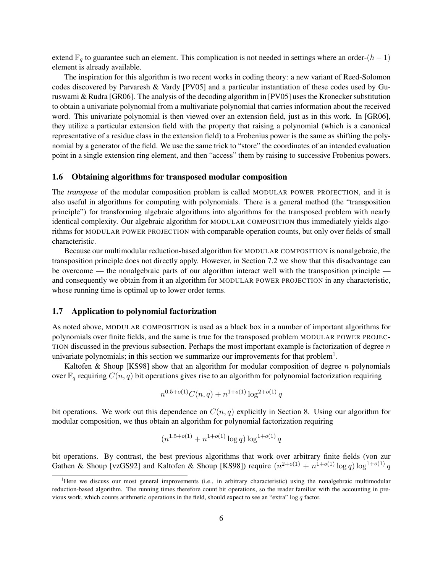extend F*<sup>q</sup>* to guarantee such an element. This complication is not needed in settings where an order-(*h −* 1) element is already available.

The inspiration for this algorithm is two recent works in coding theory: a new variant of Reed-Solomon codes discovered by Parvaresh & Vardy [PV05] and a particular instantiation of these codes used by Guruswami & Rudra [GR06]. The analysis of the decoding algorithm in [PV05] uses the Kronecker substitution to obtain a univariate polynomial from a multivariate polynomial that carries information about the received word. This univariate polynomial is then viewed over an extension field, just as in this work. In [GR06], they utilize a particular extension field with the property that raising a polynomial (which is a canonical representative of a residue class in the extension field) to a Frobenius power is the same as shifting the polynomial by a generator of the field. We use the same trick to "store" the coordinates of an intended evaluation point in a single extension ring element, and then "access" them by raising to successive Frobenius powers.

#### 1.6 Obtaining algorithms for transposed modular composition

The *transpose* of the modular composition problem is called MODULAR POWER PROJECTION, and it is also useful in algorithms for computing with polynomials. There is a general method (the "transposition principle") for transforming algebraic algorithms into algorithms for the transposed problem with nearly identical complexity. Our algebraic algorithm for MODULAR COMPOSITION thus immediately yields algorithms for MODULAR POWER PROJECTION with comparable operation counts, but only over fields of small characteristic.

Because our multimodular reduction-based algorithm for MODULAR COMPOSITION is nonalgebraic, the transposition principle does not directly apply. However, in Section 7.2 we show that this disadvantage can be overcome — the nonalgebraic parts of our algorithm interact well with the transposition principle and consequently we obtain from it an algorithm for MODULAR POWER PROJECTION in any characteristic, whose running time is optimal up to lower order terms.

#### 1.7 Application to polynomial factorization

As noted above, MODULAR COMPOSITION is used as a black box in a number of important algorithms for polynomials over finite fields, and the same is true for the transposed problem MODULAR POWER PROJEC-TION discussed in the previous subsection. Perhaps the most important example is factorization of degree *n* univariate polynomials; in this section we summarize our improvements for that problem<sup>1</sup>.

Kaltofen & Shoup [KS98] show that an algorithm for modular composition of degree *n* polynomials over  $\mathbb{F}_q$  requiring  $C(n, q)$  bit operations gives rise to an algorithm for polynomial factorization requiring

$$
n^{0.5+o(1)}C(n,q) + n^{1+o(1)}\log^{2+o(1)}q
$$

bit operations. We work out this dependence on *C*(*n, q*) explicitly in Section 8. Using our algorithm for modular composition, we thus obtain an algorithm for polynomial factorization requiring

$$
(n^{1.5+o(1)} + n^{1+o(1)} \log q) \log^{1+o(1)} q
$$

bit operations. By contrast, the best previous algorithms that work over arbitrary finite fields (von zur Gathen & Shoup [vzGS92] and Kaltofen & Shoup [KS98]) require  $(n^{2+o(1)} + n^{1+o(1)} \log q) \log^{1+o(1)} q$ 

<sup>&</sup>lt;sup>1</sup>Here we discuss our most general improvements (i.e., in arbitrary characteristic) using the nonalgebraic multimodular reduction-based algorithm. The running times therefore count bit operations, so the reader familiar with the accounting in previous work, which counts arithmetic operations in the field, should expect to see an "extra" log *q* factor.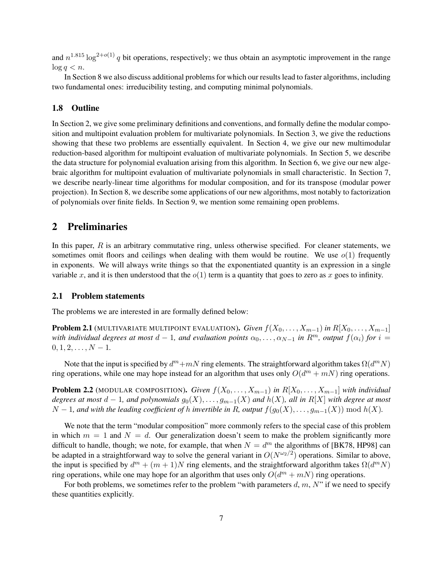and  $n^{1.815} \log^{2+o(1)} q$  bit operations, respectively; we thus obtain an asymptotic improvement in the range  $\log q$  < *n*.

In Section 8 we also discuss additional problems for which our results lead to faster algorithms, including two fundamental ones: irreducibility testing, and computing minimal polynomials.

### 1.8 Outline

In Section 2, we give some preliminary definitions and conventions, and formally define the modular composition and multipoint evaluation problem for multivariate polynomials. In Section 3, we give the reductions showing that these two problems are essentially equivalent. In Section 4, we give our new multimodular reduction-based algorithm for multipoint evaluation of multivariate polynomials. In Section 5, we describe the data structure for polynomial evaluation arising from this algorithm. In Section 6, we give our new algebraic algorithm for multipoint evaluation of multivariate polynomials in small characteristic. In Section 7, we describe nearly-linear time algorithms for modular composition, and for its transpose (modular power projection). In Section 8, we describe some applications of our new algorithms, most notably to factorization of polynomials over finite fields. In Section 9, we mention some remaining open problems.

# 2 Preliminaries

In this paper, *R* is an arbitrary commutative ring, unless otherwise specified. For cleaner statements, we sometimes omit floors and ceilings when dealing with them would be routine. We use  $o(1)$  frequently in exponents. We will always write things so that the exponentiated quantity is an expression in a single variable *x*, and it is then understood that the  $o(1)$  term is a quantity that goes to zero as *x* goes to infinity.

### 2.1 Problem statements

The problems we are interested in are formally defined below:

**Problem 2.1** (MULTIVARIATE MULTIPOINT EVALUATION). *Given*  $f(X_0, \ldots, X_{m-1})$  *in*  $R[X_0, \ldots, X_{m-1}]$ *with individual degrees at most*  $d-1$ , and evaluation points  $\alpha_0, \ldots, \alpha_{N-1}$  in  $R^m$ , output  $f(\alpha_i)$  for  $i=1$  $0, 1, 2, \ldots, N-1$ .

Note that the input is specified by  $d^m + mN$  ring elements. The straightforward algorithm takes  $\Omega(d^mN)$ ring operations, while one may hope instead for an algorithm that uses only  $O(d^m + m)$  ring operations.

**Problem 2.2** (MODULAR COMPOSITION). *Given*  $f(X_0, \ldots, X_{m-1})$  *in*  $R[X_0, \ldots, X_{m-1}]$  *with individual degrees at most*  $d-1$ *, and polynomials*  $g_0(X), \ldots, g_{m-1}(X)$  *and*  $h(X)$ *, all in*  $R[X]$  *with degree at most N* − 1*, and with the leading coefficient of <i>h invertible in R, output*  $f(g_0(X), \ldots, g_{m-1}(X)) \text{ mod } h(X)$ *.* 

We note that the term "modular composition" more commonly refers to the special case of this problem in which  $m = 1$  and  $N = d$ . Our generalization doesn't seem to make the problem significantly more difficult to handle, though; we note, for example, that when  $N = d^m$  the algorithms of [BK78, HP98] can be adapted in a straightforward way to solve the general variant in  $O(N^{\omega_2/2})$  operations. Similar to above, the input is specified by  $d^m + (m+1)N$  ring elements, and the straightforward algorithm takes  $\Omega(d^mN)$ ring operations, while one may hope for an algorithm that uses only  $O(d^m + m)$  ring operations.

For both problems, we sometimes refer to the problem "with parameters *d*, *m*, *N*" if we need to specify these quantities explicitly.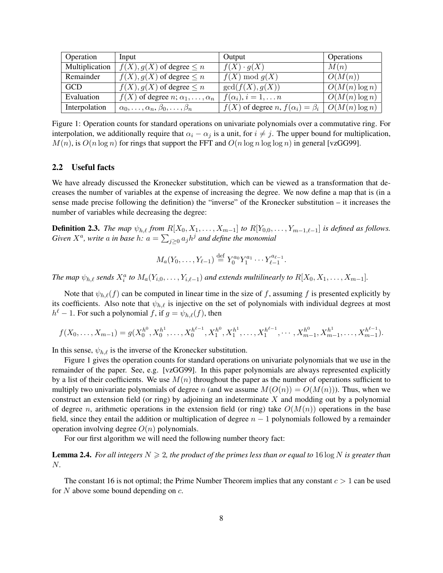| Operation      | Input                                             | Output                                                          | <b>Operations</b> |
|----------------|---------------------------------------------------|-----------------------------------------------------------------|-------------------|
| Multiplication | $f(X)$ , $g(X)$ of degree $\leq n$                | $f(X) \cdot g(X)$                                               | M(n)              |
| Remainder      | $f(X)$ , $g(X)$ of degree $\leq n$                | $f(X) \bmod g(X)$                                               | O(M(n))           |
| <b>GCD</b>     | $f(X)$ , $g(X)$ of degree $\leq n$                | gcd(f(X), g(X))                                                 | $O(M(n)\log n)$   |
| Evaluation     | $f(X)$ of degree $n; \alpha_1, \ldots, \alpha_n$  | $f(\alpha_i), i=1,\ldots n$                                     | $O(M(n)\log n)$   |
| Interpolation  | $\alpha_0,\ldots,\alpha_n,\beta_0,\ldots,\beta_n$ | $f(X)$ of degree n, $f(\alpha_i) = \beta_i \mid O(M(n) \log n)$ |                   |

Figure 1: Operation counts for standard operations on univariate polynomials over a commutative ring. For interpolation, we additionally require that  $\alpha_i - \alpha_j$  is a unit, for  $i \neq j$ . The upper bound for multiplication,  $M(n)$ , is  $O(n \log n)$  for rings that support the FFT and  $O(n \log n \log \log n)$  in general [vzGG99].

### 2.2 Useful facts

We have already discussed the Kronecker substitution, which can be viewed as a transformation that decreases the number of variables at the expense of increasing the degree. We now define a map that is (in a sense made precise following the definition) the "inverse" of the Kronecker substitution – it increases the number of variables while decreasing the degree:

**Definition 2.3.** The map  $\psi_{h,\ell}$  from  $R[X_0,X_1,\ldots,X_{m-1}]$  to  $R[Y_{0,0},\ldots,Y_{m-1,\ell-1}]$  is defined as follows. *Given*  $X^a$ , write a in base  $h$ :  $a = \sum_{j \geq 0} a_j h^j$  and define the monomial

$$
M_a(Y_0,\ldots,Y_{\ell-1})\stackrel{\text{def}}{=} Y_0^{a_0}Y_1^{a_1}\cdots Y_{\ell-1}^{a_{\ell-1}}.
$$

The map  $\psi_{h,\ell}$  sends  $X_i^a$  to  $M_a(Y_{i,0},\ldots,Y_{i,\ell-1})$  and extends multilinearly to  $R[X_0,X_1,\ldots,X_{m-1}]$ .

Note that  $\psi_{h,\ell}(f)$  can be computed in linear time in the size of f, assuming f is presented explicitly by its coefficients. Also note that  $\psi_{h,\ell}$  is injective on the set of polynomials with individual degrees at most  $h^{\ell} - 1$ . For such a polynomial *f*, if  $g = \psi_{h,\ell}(f)$ , then

$$
f(X_0, \ldots, X_{m-1}) = g(X_0^{h^0}, X_0^{h^1}, \ldots, X_0^{h^{\ell-1}}, X_1^{h^0}, X_1^{h^1}, \ldots, X_1^{h^{\ell-1}}, \cdots, X_{m-1}^{h^0}, X_{m-1}^{h^1}, \ldots, X_{m-1}^{h^{\ell-1}}).
$$

In this sense,  $\psi_{h,\ell}$  is the inverse of the Kronecker substitution.

Figure 1 gives the operation counts for standard operations on univariate polynomials that we use in the remainder of the paper. See, e.g. [vzGG99]. In this paper polynomials are always represented explicitly by a list of their coefficients. We use  $M(n)$  throughout the paper as the number of operations sufficient to multiply two univariate polynomials of degree *n* (and we assume  $M(O(n)) = O(M(n))$ ). Thus, when we construct an extension field (or ring) by adjoining an indeterminate *X* and modding out by a polynomial of degree *n*, arithmetic operations in the extension field (or ring) take  $O(M(n))$  operations in the base field, since they entail the addition or multiplication of degree *n −* 1 polynomials followed by a remainder operation involving degree  $O(n)$  polynomials.

For our first algorithm we will need the following number theory fact:

**Lemma 2.4.** *For all integers*  $N \ge 2$ *, the product of the primes less than or equal to* 16 log N *is greater than N.*

The constant 16 is not optimal; the Prime Number Theorem implies that any constant *c >* 1 can be used for *N* above some bound depending on *c*.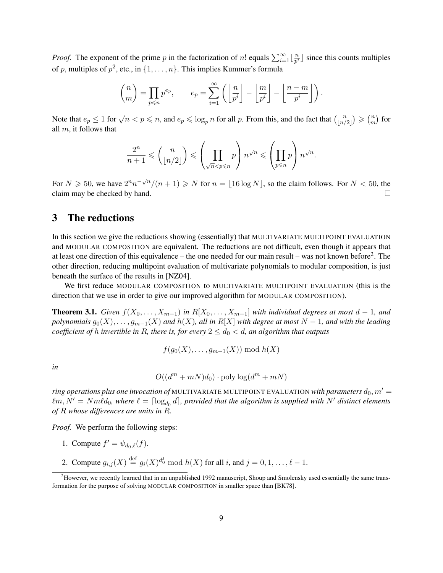*Proof.* The exponent of the prime *p* in the factorization of *n*! equals  $\sum_{i=1}^{\infty} \left\lfloor \frac{n}{p^i} \right\rfloor$  $\frac{n}{p^i}$  since this counts multiples of *p*, multiples of  $p^2$ , etc., in  $\{1, \ldots, n\}$ . This implies Kummer's formula

$$
\binom{n}{m} = \prod_{p \leq n} p^{e_p}, \qquad e_p = \sum_{i=1}^{\infty} \left( \left\lfloor \frac{n}{p^i} \right\rfloor - \left\lfloor \frac{m}{p^i} \right\rfloor - \left\lfloor \frac{n-m}{p^i} \right\rfloor \right).
$$

Note that  $e_p \leq 1$  for  $\sqrt{n} < p \leq n$ , and  $e_p \leq \log_p n$  for all p. From this, and the fact that  $\binom{n}{\lfloor n/p \rfloor}$  $\binom{n}{\lfloor n/2 \rfloor} \geqslant \binom{n}{m}$  $\binom{n}{m}$  for all *m*, it follows that

$$
\frac{2^n}{n+1} \leqslant \binom{n}{\lfloor n/2 \rfloor} \leqslant \left(\prod_{\sqrt{n} < p \leqslant n} p\right) n^{\sqrt{n}} \leqslant \left(\prod_{p \leqslant n} p\right) n^{\sqrt{n}}.
$$

For  $N \ge 50$ , we have  $2^n n^{-\sqrt{n}}/(n+1) \ge N$  for  $n = \lfloor 16 \log N \rfloor$ , so the claim follows. For  $N < 50$ , the claim may be checked by hand.  $\Box$ 

## 3 The reductions

In this section we give the reductions showing (essentially) that MULTIVARIATE MULTIPOINT EVALUATION and MODULAR COMPOSITION are equivalent. The reductions are not difficult, even though it appears that at least one direction of this equivalence – the one needed for our main result – was not known before<sup>2</sup>. The other direction, reducing multipoint evaluation of multivariate polynomials to modular composition, is just beneath the surface of the results in [NZ04].

We first reduce MODULAR COMPOSITION to MULTIVARIATE MULTIPOINT EVALUATION (this is the direction that we use in order to give our improved algorithm for MODULAR COMPOSITION).

**Theorem 3.1.** *Given*  $f(X_0, \ldots, X_{m-1})$  *in*  $R[X_0, \ldots, X_{m-1}]$  *with individual degrees at most*  $d − 1$ *, and polynomials*  $g_0(X), \ldots, g_{m-1}(X)$  *and*  $h(X)$ *, all in*  $R[X]$  *with degree at most*  $N-1$ *, and with the leading coefficient of h invertible in R, there is, for every*  $2 \le d_0 < d$ *, an algorithm that outputs* 

$$
f(g_0(X),\ldots,g_{m-1}(X)) \bmod h(X)
$$

*in*

$$
O((d^m + mN)d_0) \cdot \text{poly}\log(d^m + mN)
$$

*ring operations plus one invocation of* MULTIVARIATE MULTIPOINT EVALUATION *with parameters*  $d_0, m' =$  $\ell m, N' = Nm\ell d_0$ , where  $\ell = \lceil \log_{d_0} d \rceil$ , provided that the algorithm is supplied with  $N'$  distinct elements *of R whose differences are units in R.*

*Proof.* We perform the following steps:

- 1. Compute  $f' = \psi_{d_0,\ell}(f)$ .
- 2. Compute  $g_{i,j}(X) \stackrel{\text{def}}{=} g_i(X)^{d_0^j} \text{ mod } h(X)$  for all *i*, and  $j = 0, 1, \ldots, \ell 1$ .

<sup>&</sup>lt;sup>2</sup>However, we recently learned that in an unpublished 1992 manuscript, Shoup and Smolensky used essentially the same transformation for the purpose of solving MODULAR COMPOSITION in smaller space than [BK78].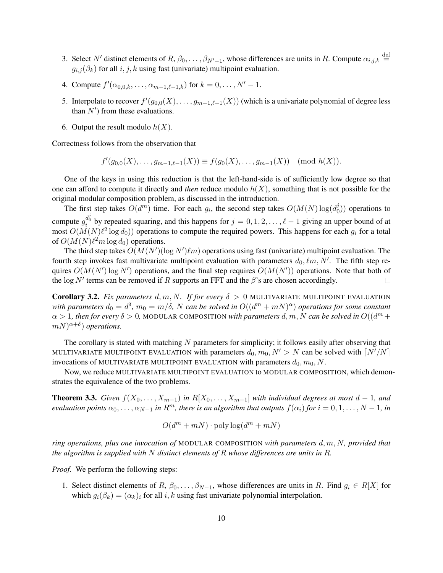- 3. Select *N'* distinct elements of *R*,  $\beta_0, \ldots, \beta_{N'-1}$ , whose differences are units in *R*. Compute  $\alpha_{i,j,k} \stackrel{\text{def}}{=}$  $g_{i,j}(\beta_k)$  for all  $i, j, k$  using fast (univariate) multipoint evaluation.
- 4. Compute  $f'(\alpha_{0,0,k}, \ldots, \alpha_{m-1,\ell-1,k})$  for  $k = 0, \ldots, N'-1$ .
- 5. Interpolate to recover  $f'(g_{0,0}(X), \ldots, g_{m-1,\ell-1}(X))$  (which is a univariate polynomial of degree less than *N′* ) from these evaluations.
- 6. Output the result modulo  $h(X)$ .

Correctness follows from the observation that

$$
f'(g_{0,0}(X),\ldots,g_{m-1,\ell-1}(X)) \equiv f(g_0(X),\ldots,g_{m-1}(X)) \pmod{h(X)}.
$$

One of the keys in using this reduction is that the left-hand-side is of sufficiently low degree so that one can afford to compute it directly and *then* reduce modulo *h*(*X*), something that is not possible for the original modular composition problem, as discussed in the introduction.

The first step takes  $O(d^m)$  time. For each  $g_i$ , the second step takes  $O(M(N) \log(d_0^j))$  $_0^{\jmath}$ )) operations to compute  $g_i^{d_0^j}$  by repeated squaring, and this happens for  $j = 0, 1, 2, \ldots, \ell - 1$  giving an upper bound of at most  $O(M(N)\ell^2 \log d_0)$  operations to compute the required powers. This happens for each  $g_i$  for a total of  $O(M(N)\ell^2 m \log d_0)$  operations.

The third step takes  $O(M(N')(\log N')\ell m)$  operations using fast (univariate) multipoint evaluation. The fourth step invokes fast multivariate multipoint evaluation with parameters  $d_0, \ell m, N'$ . The fifth step requires  $O(M(N') \log N')$  operations, and the final step requires  $O(M(N'))$  operations. Note that both of the log  $N'$  terms can be removed if  $R$  supports an FFT and the  $\beta$ 's are chosen accordingly.  $\Box$ 

**Corollary 3.2.** *Fix parameters*  $d, m, N$ *. If for every*  $\delta > 0$  MULTIVARIATE MULTIPOINT EVALUATION *with parameters*  $d_0 = d^\delta$ ,  $m_0 = m/\delta$ ,  $N$  *can be solved in*  $O((d^m + mN)^\alpha)$  *operations for some constant*  $\alpha > 1$ , then for every  $\delta > 0$ , MODULAR COMPOSITION with parameters  $d, m, N$  can be solved in  $O((d<sup>m</sup> +$  $(mN)^{\alpha+\delta}$ ) *operations.* 

The corollary is stated with matching *N* parameters for simplicity; it follows easily after observing that MULTIVARIATE MULTIPOINT EVALUATION with parameters  $d_0, m_0, N' > N$  can be solved with  $\lceil N'/N \rceil$ invocations of MULTIVARIATE MULTIPOINT EVALUATION with parameters  $d_0$ ,  $m_0$ , N.

Now, we reduce MULTIVARIATE MULTIPOINT EVALUATION to MODULAR COMPOSITION, which demonstrates the equivalence of the two problems.

**Theorem 3.3.** *Given*  $f(X_0, \ldots, X_{m-1})$  *in*  $R[X_0, \ldots, X_{m-1}]$  *with individual degrees at most*  $d − 1$ *, and* evaluation points  $\alpha_0, \ldots, \alpha_{N-1}$  in  $R^m$ , there is an algorithm that outputs  $f(\alpha_i)$  for  $i = 0, 1, \ldots, N-1$ , in

$$
O(d^m + mN) \cdot \text{poly}\log(d^m + mN)
$$

*ring operations, plus one invocation of* MODULAR COMPOSITION *with parameters d, m, N, provided that the algorithm is supplied with N distinct elements of R whose differences are units in R.*

*Proof.* We perform the following steps:

1. Select distinct elements of  $R$ ,  $\beta_0, \ldots, \beta_{N-1}$ , whose differences are units in  $R$ . Find  $g_i \in R[X]$  for which  $g_i(\beta_k) = (\alpha_k)_i$  for all *i*, *k* using fast univariate polynomial interpolation.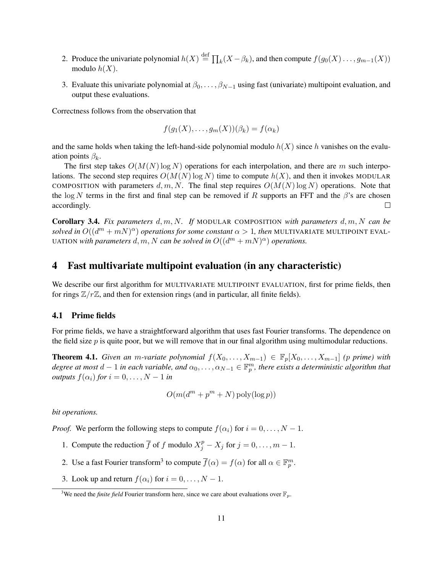- 2. Produce the univariate polynomial  $h(X) \stackrel{\text{def}}{=} \prod_k (X \beta_k)$ , and then compute  $f(g_0(X) \ldots, g_{m-1}(X))$ modulo  $h(X)$ .
- 3. Evaluate this univariate polynomial at  $\beta_0, \ldots, \beta_{N-1}$  using fast (univariate) multipoint evaluation, and output these evaluations.

Correctness follows from the observation that

$$
f(g_1(X),\ldots,g_m(X))(\beta_k)=f(\alpha_k)
$$

and the same holds when taking the left-hand-side polynomial modulo  $h(X)$  since  $h$  vanishes on the evaluation points *βk*.

The first step takes  $O(M(N) \log N)$  operations for each interpolation, and there are *m* such interpolations. The second step requires  $O(M(N) \log N)$  time to compute  $h(X)$ , and then it invokes MODULAR COMPOSITION with parameters  $d, m, N$ . The final step requires  $O(M(N) \log N)$  operations. Note that the log *N* terms in the first and final step can be removed if *R* supports an FFT and the  $\beta$ 's are chosen accordingly.  $\Box$ 

Corollary 3.4. *Fix parameters d, m, N. If* MODULAR COMPOSITION *with parameters d, m, N can be solved in*  $O((d^m + mN)^\alpha)$  *operations for some constant*  $\alpha > 1$ *, then* MULTIVARIATE MULTIPOINT EVAL-UATION with parameters  $d, m, N$  can be solved in  $O((d<sup>m</sup> + m<sup>n</sup>)<sup>\alpha</sup>)$  operations.

### 4 Fast multivariate multipoint evaluation (in any characteristic)

We describe our first algorithm for MULTIVARIATE MULTIPOINT EVALUATION, first for prime fields, then for rings  $\mathbb{Z}/r\mathbb{Z}$ , and then for extension rings (and in particular, all finite fields).

### 4.1 Prime fields

For prime fields, we have a straightforward algorithm that uses fast Fourier transforms. The dependence on the field size *p* is quite poor, but we will remove that in our final algorithm using multimodular reductions.

**Theorem 4.1.** *Given an m-variate polynomial*  $f(X_0, \ldots, X_{m-1})$  ∈  $\mathbb{F}_p[X_0, \ldots, X_{m-1}]$  (*p prime*) with *degree at most*  $d-1$  *in each variable, and*  $\alpha_0, \ldots, \alpha_{N-1} \in \mathbb{F}_p^m$ *, there exists a deterministic algorithm that outputs*  $f(\alpha_i)$  *for*  $i = 0, \ldots, N - 1$  *in* 

$$
O(m(d^m + p^m + N) \operatorname{poly}(\log p))
$$

*bit operations.*

*Proof.* We perform the following steps to compute  $f(\alpha_i)$  for  $i = 0, \ldots, N - 1$ .

- 1. Compute the reduction  $\overline{f}$  of  $f$  modulo  $X_j^p X_j$  for  $j = 0, \ldots, m 1$ .
- 2. Use a fast Fourier transform<sup>3</sup> to compute  $\overline{f}(\alpha) = f(\alpha)$  for all  $\alpha \in \mathbb{F}_p^m$ .
- 3. Look up and return  $f(\alpha_i)$  for  $i = 0, \ldots, N 1$ .

<sup>&</sup>lt;sup>3</sup>We need the *finite field* Fourier transform here, since we care about evaluations over  $\mathbb{F}_p$ .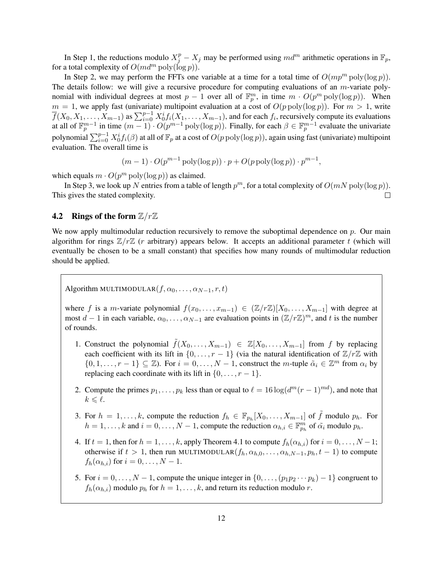In Step 1, the reductions modulo  $X_j^p - X_j$  may be performed using  $md^m$  arithmetic operations in  $\mathbb{F}_p$ , for a total complexity of  $O(md^m \text{poly}(\log p))$ .

In Step 2, we may perform the FFTs one variable at a time for a total time of  $O(mp^m \text{poly}(\log p))$ . The details follow: we will give a recursive procedure for computing evaluations of an *m*-variate polynomial with individual degrees at most  $p - 1$  over all of  $\mathbb{F}_p^m$ , in time  $m \cdot O(p^m \text{poly}(\log p))$ . When  $m = 1$ , we apply fast (univariate) multipoint evaluation at a cost of  $O(p \text{ poly}(\log p))$ . For  $m > 1$ , write  $\overline{f}(X_0, X_1, \ldots, X_{m-1})$  as  $\sum_{i=0}^{p-1} X_0^i f_i(X_1, \ldots, X_{m-1})$ , and for each  $f_i$ , recursively compute its evaluations at all of  $\mathbb{F}_p^{m-1}$  in time  $(m-1) \cdot O(p^{m-1} \text{ poly}(\log p))$ . Finally, for each  $\beta \in \mathbb{F}_p^{m-1}$  evaluate the univariate polynomial  $\sum_{i=0}^{p-1} X_0^i f_i(\beta)$  at all of  $\mathbb{F}_p$  at a cost of  $O(p \operatorname{poly}(\log p))$ , again using fast (univariate) multipoint evaluation. The overall time is

$$
(m-1) \cdot O(p^{m-1} \operatorname{poly}(\log p)) \cdot p + O(p \operatorname{poly}(\log p)) \cdot p^{m-1},
$$

which equals  $m \cdot O(p^m \text{poly}(\log p))$  as claimed.

In Step 3, we look up *N* entries from a table of length  $p^m$ , for a total complexity of  $O(mN \text{ poly}(\log p))$ . This gives the stated complexity.  $\Box$ 

#### 4.2 Rings of the form Z*/r*Z

We now apply multimodular reduction recursively to remove the suboptimal dependence on *p*. Our main algorithm for rings  $\mathbb{Z}/r\mathbb{Z}$  (*r* arbitrary) appears below. It accepts an additional parameter *t* (which will eventually be chosen to be a small constant) that specifies how many rounds of multimodular reduction should be applied.

Algorithm MULTIMODULAR $(f, \alpha_0, \ldots, \alpha_{N-1}, r, t)$ 

where *f* is a *m*-variate polynomial  $f(x_0, \ldots, x_{m-1}) \in (\mathbb{Z}/r\mathbb{Z})[X_0, \ldots, X_{m-1}]$  with degree at most  $d-1$  in each variable,  $\alpha_0, \ldots, \alpha_{N-1}$  are evaluation points in  $(\mathbb{Z}/r\mathbb{Z})^m$ , and  $t$  is the number of rounds.

- 1. Construct the polynomial  $\tilde{f}(X_0, \ldots, X_{m-1}) \in \mathbb{Z}[X_0, \ldots, X_{m-1}]$  from f by replacing each coefficient with its lift in  $\{0, \ldots, r-1\}$  (via the natural identification of  $\mathbb{Z}/r\mathbb{Z}$  with *{*0*,* 1*, . . . , r* − 1*}* ⊆  $\mathbb{Z}$ ). For  $i = 0, ..., N - 1$ , construct the *m*-tuple  $\tilde{\alpha}_i \in \mathbb{Z}^m$  from  $\alpha_i$  by replacing each coordinate with its lift in  $\{0, \ldots, r-1\}$ .
- 2. Compute the primes  $p_1, \ldots, p_k$  less than or equal to  $\ell = 16 \log(d^m(r-1)^{md})$ , and note that  $k \leqslant \ell$ .
- 3. For  $h = 1, \ldots, k$ , compute the reduction  $f_h \in \mathbb{F}_{p_h}[X_0, \ldots, X_{m-1}]$  of  $\tilde{f}$  modulo  $p_h$ . For  $h = 1, \ldots, k$  and  $i = 0, \ldots, N - 1$ , compute the reduction  $\alpha_{h,i} \in \mathbb{F}_{p_h}^m$  of  $\tilde{\alpha}_i$  modulo  $p_h$ .
- 4. If  $t = 1$ , then for  $h = 1, \ldots, k$ , apply Theorem 4.1 to compute  $f_h(\alpha_{h,i})$  for  $i = 0, \ldots, N-1$ ; otherwise if  $t > 1$ , then run MULTIMODULAR $(f_h, \alpha_{h,0}, \ldots, \alpha_{h,N-1}, p_h, t-1)$  to compute *f*<sub>*h*</sub>( $\alpha_{h,i}$ ) for  $i = 0, ..., N - 1$ .
- 5. For  $i = 0, \ldots, N 1$ , compute the unique integer in  $\{0, \ldots, (p_1p_2 \cdots p_k) 1\}$  congruent to  $f_h(\alpha_{h,i})$  modulo  $p_h$  for  $h = 1, \ldots, k$ , and return its reduction modulo *r*.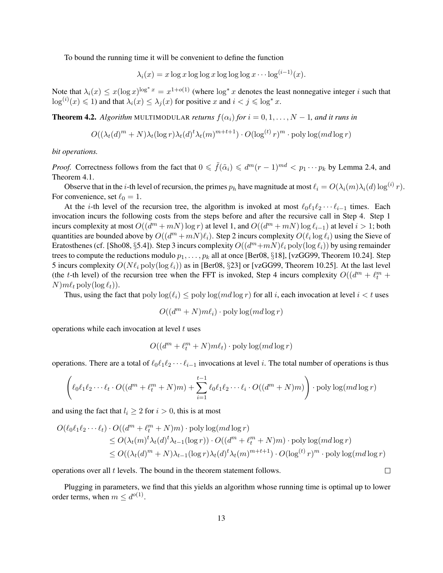To bound the running time it will be convenient to define the function

$$
\lambda_i(x) = x \log x \log \log x \log \log \log x \cdots \log^{(i-1)}(x).
$$

Note that  $\lambda_i(x) \leq x(\log x)^{\log^* x} = x^{1+o(1)}$  (where  $\log^* x$  denotes the least nonnegative integer *i* such that  $\log^{(i)}(x) \leq 1$ ) and that  $\lambda_i(x) \leq \lambda_j(x)$  for positive *x* and  $i < j \leq \log^* x$ .

**Theorem 4.2.** *Algorithm* MULTIMODULAR *returns*  $f(\alpha_i)$  *for*  $i = 0, 1, ..., N - 1$ *, and it runs in* 

$$
O((\lambda_t(d)^m + N)\lambda_t(\log r)\lambda_t(d)^t\lambda_t(m)^{m+t+1}) \cdot O(\log^{(t)} r)^m \cdot \text{poly}\log(md\log r)
$$

*bit operations.*

*Proof.* Correctness follows from the fact that  $0 \le \tilde{f}(\tilde{\alpha}_i) \le d^m(r-1)^{md} < p_1 \cdots p_k$  by Lemma 2.4, and Theorem 4.1.

Observe that in the *i*-th level of recursion, the primes  $p_h$  have magnitude at most  $\ell_i = O(\lambda_i(m)\lambda_i(d)\log^{(i)} r)$ . For convenience, set  $\ell_0 = 1$ .

At the *i*-th level of the recursion tree, the algorithm is invoked at most  $\ell_0 \ell_1 \ell_2 \cdots \ell_{i-1}$  times. Each invocation incurs the following costs from the steps before and after the recursive call in Step 4. Step 1 incurs complexity at most  $O((d^m + mN) \log r)$  at level 1, and  $O((d^m + mN) \log \ell_{i-1})$  at level  $i > 1$ ; both quantities are bounded above by  $O((d^m + mN)\ell_i)$ . Step 2 incurs complexity  $O(\ell_i \log \ell_i)$  using the Sieve of Eratosthenes (cf. [Sho08, §5.4]). Step 3 incurs complexity  $O((d^m + mN)\ell_i \text{ poly}(\log \ell_i))$  by using remainder trees to compute the reductions modulo  $p_1, \ldots, p_k$  all at once [Ber08, §18], [vzGG99, Theorem 10.24]. Step 5 incurs complexity  $O(N\ell_i \text{ poly}(\log \ell_i))$  as in [Ber08, §23] or [vzGG99, Theorem 10.25]. At the last level (the *t*-th level) of the recursion tree when the FFT is invoked, Step 4 incurs complexity  $O((d<sup>m</sup> + l<sub>t</sub><sup>m</sup> + l<sub>t</sub>)$  $N$ *m* $\ell_t$  poly(log  $\ell_t$ )).

Thus, using the fact that  $\text{poly}\log(\ell_i) \leq \text{poly}\log(m d \log r)$  for all *i*, each invocation at level  $i < t$  uses

$$
O((d^m + N)m\ell_i) \cdot \text{poly}\log(md\log r)
$$

operations while each invocation at level *t* uses

$$
O((d^m + \ell^m_t + N)m\ell_t) \cdot \text{poly}\log(md\log r)
$$

operations. There are a total of  $\ell_0 \ell_1 \ell_2 \cdots \ell_{i-1}$  invocations at level *i*. The total number of operations is thus

$$
\left(\ell_0\ell_1\ell_2\cdots\ell_t\cdot O((d^m+\ell_t^m+N)m)+\sum_{i=1}^{t-1}\ell_0\ell_1\ell_2\cdots\ell_i\cdot O((d^m+N)m)\right)\cdot\text{poly}\log(md\log r)
$$

and using the fact that  $l_i \geq 2$  for  $i > 0$ , this is at most

$$
O(\ell_0 \ell_1 \ell_2 \cdots \ell_t) \cdot O((d^m + \ell_t^m + N)m) \cdot \text{poly}\log(md \log r)
$$
  
\n
$$
\leq O(\lambda_t(m)^t \lambda_t(d)^t \lambda_{t-1}(\log r)) \cdot O((d^m + \ell_t^m + N)m) \cdot \text{poly}\log(md \log r)
$$
  
\n
$$
\leq O((\lambda_t(d)^m + N)\lambda_{t-1}(\log r)\lambda_t(d)^t \lambda_t(m)^{m+t+1}) \cdot O(\log^{(t)} r)^m \cdot \text{poly}\log(md \log r)
$$

 $\Box$ 

operations over all *t* levels. The bound in the theorem statement follows.

Plugging in parameters, we find that this yields an algorithm whose running time is optimal up to lower order terms, when  $m \leq d^{o(1)}$ .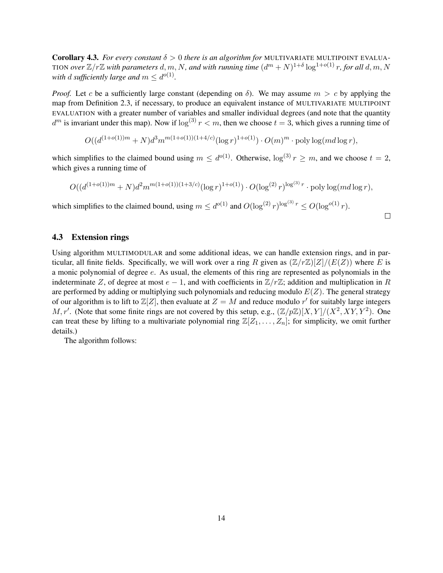**Corollary 4.3.** *For every constant*  $\delta > 0$  *there is an algorithm for MULTIVARIATE MULTIPOINT EVALUA*-TION *over*  $\mathbb{Z}/r\mathbb{Z}$  with parameters  $d, m, N$ , and with running time  $(d^m + N)^{1+\delta} \log^{1+o(1)} r$ , for all  $d, m, N$ *with d sufficiently large and*  $m \leq d^{o(1)}$ *.* 

*Proof.* Let *c* be a sufficiently large constant (depending on *δ*). We may assume *m > c* by applying the map from Definition 2.3, if necessary, to produce an equivalent instance of MULTIVARIATE MULTIPOINT EVALUATION with a greater number of variables and smaller individual degrees (and note that the quantity  $d^m$  is invariant under this map). Now if  $\log^{(3)} r < m$ , then we choose  $t = 3$ , which gives a running time of

$$
O((d^{(1+o(1))m} + N)d^3m^{m(1+o(1))(1+4/c)}(\log r)^{1+o(1)}) \cdot O(m)^m \cdot \text{poly}\log(md\log r),
$$

which simplifies to the claimed bound using  $m \leq d^{o(1)}$ . Otherwise,  $\log^{(3)} r \geq m$ , and we choose  $t = 2$ , which gives a running time of

$$
O((d^{(1+o(1))m} + N)d^2m^{m(1+o(1))(1+3/c)}(\log r)^{1+o(1)}) \cdot O(\log^{(2)} r)^{\log^{(3)} r} \cdot \text{poly}\log(md\log r),
$$

 $\Box$ 

which simplifies to the claimed bound, using  $m \leq d^{o(1)}$  and  $O(\log^{(2)} r)^{\log^{(3)} r} \leq O(\log^{o(1)} r)$ .

### 4.3 Extension rings

Using algorithm MULTIMODULAR and some additional ideas, we can handle extension rings, and in particular, all finite fields. Specifically, we will work over a ring *R* given as  $(\mathbb{Z}/r\mathbb{Z})[Z]/(E(Z))$  where *E* is a monic polynomial of degree *e*. As usual, the elements of this ring are represented as polynomials in the indeterminate *Z*, of degree at most  $e - 1$ , and with coefficients in  $\mathbb{Z}/r\mathbb{Z}$ ; addition and multiplication in *R* are performed by adding or multiplying such polynomials and reducing modulo  $E(Z)$ . The general strategy of our algorithm is to lift to  $\mathbb{Z}[Z]$ , then evaluate at  $Z = M$  and reduce modulo  $r'$  for suitably large integers *M, r'*. (Note that some finite rings are not covered by this setup, e.g.,  $(\mathbb{Z}/p\mathbb{Z})[X, Y]/(X^2, XY, Y^2)$ . One can treat these by lifting to a multivariate polynomial ring  $\mathbb{Z}[Z_1, \ldots, Z_n]$ ; for simplicity, we omit further details.)

The algorithm follows: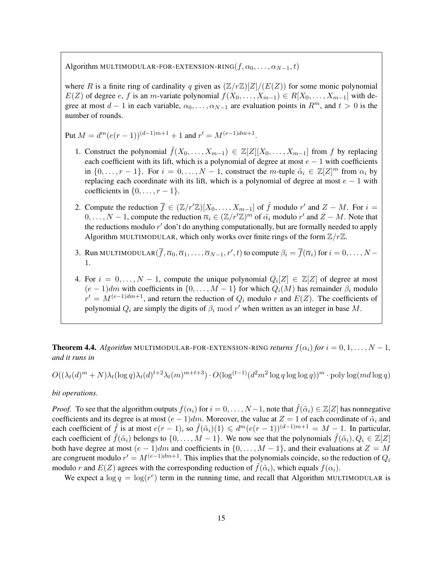Algorithm MULTIMODULAR-FOR-EXTENSION-RING $(f, \alpha_0, \ldots, \alpha_{N-1}, t)$ 

where *R* is a finite ring of cardinality *q* given as  $(\mathbb{Z}/r\mathbb{Z})[Z]/(E(Z))$  for some monic polynomial *E*(*Z*) of degree *e*, *f* is an *m*-variate polynomial  $f(X_0, \ldots, X_{m-1})$  ∈  $R[X_0, \ldots, X_{m-1}]$  with degree at most  $d-1$  in each variable,  $\alpha_0, \ldots, \alpha_{N-1}$  are evaluation points in  $R^m$ , and  $t > 0$  is the number of rounds.

Put  $M = d^m(e(r-1))^{(d-1)m+1} + 1$  and  $r' = M^{(e-1)dm+1}$ .

- 1. Construct the polynomial  $\tilde{f}(X_0, \ldots, X_{m-1})$  ∈  $\mathbb{Z}[Z][X_0, \ldots, X_{m-1}]$  from *f* by replacing each coefficient with its lift, which is a polynomial of degree at most *e −* 1 with coefficients in  $\{0, \ldots, r-1\}$ . For  $i = 0, \ldots, N-1$ , construct the *m*-tuple  $\tilde{\alpha}_i \in \mathbb{Z}[Z]^m$  from  $\alpha_i$  by replacing each coordinate with its lift, which is a polynomial of degree at most *e −* 1 with coefficients in  $\{0, \ldots, r-1\}$ .
- 2. Compute the reduction  $\overline{f} \in (\mathbb{Z}/r'\mathbb{Z})[X_0, \ldots, X_{m-1}]$  of  $\tilde{f}$  modulo  $r'$  and  $Z M$ . For  $i =$  $0, \ldots, N-1$ , compute the reduction  $\overline{\alpha}_i \in (\mathbb{Z}/r'\mathbb{Z})^m$  of  $\tilde{\alpha}_i$  modulo  $r'$  and  $Z - M$ . Note that the reductions modulo *r ′* don't do anything computationally, but are formally needed to apply Algorithm MULTIMODULAR, which only works over finite rings of the form  $\mathbb{Z}/r\mathbb{Z}$ .
- 3. Run MULTIMODULAR $(f, \overline{\alpha}_0, \overline{\alpha}_1, \ldots, \overline{\alpha}_{N-1}, r', t)$  to compute  $\beta_i = f(\overline{\alpha}_i)$  for  $i = 0, \ldots, N-1$ 1.
- 4. For  $i = 0, \ldots, N 1$ , compute the unique polynomial  $Q_i[Z] \in \mathbb{Z}[Z]$  of degree at most  $(e-1)$ *dm* with coefficients in  $\{0, \ldots, M-1\}$  for which  $Q_i(M)$  has remainder  $\beta_i$  modulo  $r' = M^{(e-1)dm+1}$ , and return the reduction of  $Q_i$  modulo *r* and  $E(Z)$ . The coefficients of polynomial  $Q_i$  are simply the digits of  $\beta_i \mod r'$  when written as an integer in base M.

**Theorem 4.4.** *Algorithm* MULTIMODULAR-FOR-EXTENSION-RING *returns*  $f(\alpha_i)$  *for*  $i = 0, 1, \ldots, N - 1$ , *and it runs in*

$$
O((\lambda_t(d)^m + N)\lambda_t(\log q)\lambda_t(d)^{t+2}\lambda_t(m)^{m+t+3}) \cdot O(\log^{(t-1)}(d^2m^2\log q\log\log q))^m \cdot \text{poly}\log(md\log q)
$$

*bit operations.*

*Proof.* To see that the algorithm outputs  $f(\alpha_i)$  for  $i = 0, \ldots, N-1$ , note that  $\tilde{f}(\tilde{\alpha}_i) \in \mathbb{Z}[Z]$  has nonnegative coefficients and its degree is at most  $(e - 1)dm$ . Moreover, the value at  $Z = 1$  of each coordinate of  $\tilde{\alpha}_i$  and each coefficient of  $\tilde{f}$  is at most  $e(r-1)$ , so  $\tilde{f}(\tilde{\alpha}_i)(1) \leq d^m(e(r-1))^{(d-1)m+1} = M-1$ . In particular, each coefficient of  $\tilde{f}(\tilde{\alpha}_i)$  belongs to  $\{0, \ldots, M-1\}$ . We now see that the polynomials  $\tilde{f}(\tilde{\alpha}_i), Q_i \in \mathbb{Z}[Z]$ both have degree at most  $(e - 1)dm$  and coefficients in  $\{0, \ldots, M - 1\}$ , and their evaluations at  $Z = M$ are congruent modulo  $r' = M^{(e-1)dm+1}$ . This implies that the polynomials coincide, so the reduction of  $Q_i$ modulo *r* and  $E(Z)$  agrees with the corresponding reduction of  $f(\tilde{\alpha}_i)$ , which equals  $f(\alpha_i)$ .

We expect a  $\log q = \log(r^e)$  term in the running time, and recall that Algorithm MULTIMODULAR is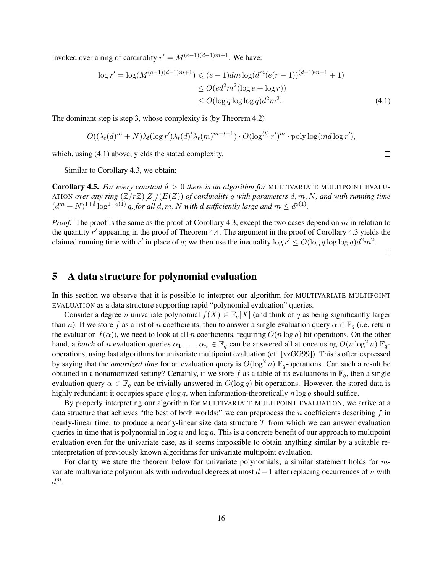invoked over a ring of cardinality  $r' = M^{(e-1)(d-1)m+1}$ . We have:

$$
\log r' = \log(M^{(e-1)(d-1)m+1}) \le (e-1)dm \log(d^m(e(r-1))^{(d-1)m+1} + 1)
$$
  
\n
$$
\le O(ed^2m^2(\log e + \log r))
$$
  
\n
$$
\le O(\log q \log \log q)d^2m^2.
$$
\n(4.1)

The dominant step is step 3, whose complexity is (by Theorem 4.2)

$$
O((\lambda_t(d)^m + N)\lambda_t(\log r')\lambda_t(d)^t\lambda_t(m)^{m+t+1}) \cdot O(\log^{(t)} r')^m \cdot \text{poly}\log(md\log r'),
$$

which, using (4.1) above, yields the stated complexity.

Similar to Corollary 4.3, we obtain:

**Corollary 4.5.** *For every constant*  $\delta > 0$  *there is an algorithm for* MULTIVARIATE MULTIPOINT EVALU-ATION over any ring  $(\mathbb{Z}/r\mathbb{Z})[Z]/(E(Z))$  of cardinality q with parameters  $d, m, N$ , and with running time  $(d^m + N)^{1+\delta} \log^{1+o(1)} q$ , for all  $d, m, N$  with  $d$  sufficiently large and  $m \leq d^{o(1)}$ .

*Proof.* The proof is the same as the proof of Corollary 4.3, except the two cases depend on *m* in relation to the quantity *r ′* appearing in the proof of Theorem 4.4. The argument in the proof of Corollary 4.3 yields the claimed running time with *r'* in place of *q*; we then use the inequality  $\log r' \le O(\log q \log \log q) d^2 m^2$ .

 $\Box$ 

 $\Box$ 

### 5 A data structure for polynomial evaluation

In this section we observe that it is possible to interpret our algorithm for MULTIVARIATE MULTIPOINT EVALUATION as a data structure supporting rapid "polynomial evaluation" queries.

Consider a degree *n* univariate polynomial  $f(X) \in \mathbb{F}_q[X]$  (and think of *q* as being significantly larger than *n*). If we store *f* as a list of *n* coefficients, then to answer a single evaluation query  $\alpha \in \mathbb{F}_q$  (i.e. return the evaluation  $f(\alpha)$ ), we need to look at all *n* coefficients, requiring  $O(n \log q)$  bit operations. On the other hand, a *batch* of *n* evaluation queries  $\alpha_1, \ldots, \alpha_n \in \mathbb{F}_q$  can be answered all at once using  $O(n \log^2 n) \mathbb{F}_q$ operations, using fast algorithms for univariate multipoint evaluation (cf. [vzGG99]). This is often expressed by saying that the *amortized time* for an evaluation query is  $O(\log^2 n) \mathbb{F}_q$ -operations. Can such a result be obtained in a nonamortized setting? Certainly, if we store f as a table of its evaluations in  $\mathbb{F}_q$ , then a single evaluation query  $\alpha \in \mathbb{F}_q$  can be trivially answered in  $O(\log q)$  bit operations. However, the stored data is highly redundant; it occupies space *q* log *q*, when information-theoretically *n* log *q* should suffice.

By properly interpreting our algorithm for MULTIVARIATE MULTIPOINT EVALUATION, we arrive at a data structure that achieves "the best of both worlds:" we can preprocess the *n* coefficients describing *f* in nearly-linear time, to produce a nearly-linear size data structure *T* from which we can answer evaluation queries in time that is polynomial in log *n* and log *q*. This is a concrete benefit of our approach to multipoint evaluation even for the univariate case, as it seems impossible to obtain anything similar by a suitable reinterpretation of previously known algorithms for univariate multipoint evaluation.

For clarity we state the theorem below for univariate polynomials; a similar statement holds for *m*variate multivariate polynomials with individual degrees at most *d −* 1 after replacing occurrences of *n* with *d m*.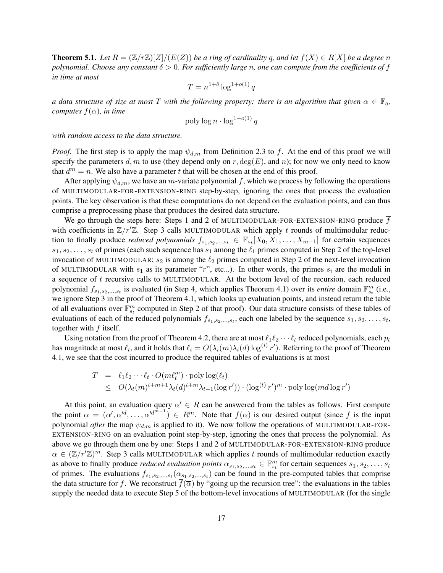**Theorem 5.1.** Let  $R = (\mathbb{Z}/r\mathbb{Z})[Z]/(E(Z))$  be a ring of cardinality q, and let  $f(X) \in R[X]$  be a degree *n polynomial. Choose any constant*  $\delta > 0$ *. For sufficiently large n, one can compute from the coefficients of f in time at most*

$$
T = n^{1+\delta} \log^{1+o(1)} q
$$

*a* data structure of size at most T with the following property: there is an algorithm that given  $\alpha \in \mathbb{F}_q$ , *computes*  $f(\alpha)$ *, in time* 

$$
poly \log n \cdot \log^{1+o(1)} q
$$

*with random access to the data structure.*

*Proof.* The first step is to apply the map  $\psi_{d,m}$  from Definition 2.3 to f. At the end of this proof we will specify the parameters  $d, m$  to use (they depend only on  $r, \deg(E)$ , and  $n$ ); for now we only need to know that  $d^m = n$ . We also have a parameter *t* that will be chosen at the end of this proof.

After applying  $\psi_{d,m}$ , we have an *m*-variate polynomial *f*, which we process by following the operations of MULTIMODULAR-FOR-EXTENSION-RING step-by-step, ignoring the ones that process the evaluation points. The key observation is that these computations do not depend on the evaluation points, and can thus comprise a preprocessing phase that produces the desired data structure.

We go through the steps here: Steps 1 and 2 of MULTIMODULAR-FOR-EXTENSION-RING produce  $\overline{f}$ with coefficients in  $\mathbb{Z}/r'\mathbb{Z}$ . Step 3 calls MULTIMODULAR which apply t rounds of multimodular reduction to finally produce *reduced polynomials*  $f_{s_1,s_2,...,s_t} \in \mathbb{F}_{s_t}[X_0,X_1,...,X_{m-1}]$  for certain sequences *s*1*, s*2*, . . . , s<sup>t</sup>* of primes (each such sequence has *s*<sup>1</sup> among the *ℓ*<sup>1</sup> primes computed in Step 2 of the top-level invocation of MULTIMODULAR;  $s_2$  is among the  $\ell_2$  primes computed in Step 2 of the next-level invocation of MULTIMODULAR with  $s_1$  as its parameter "*r*", etc...). In other words, the primes  $s_i$  are the moduli in a sequence of *t* recursive calls to MULTIMODULAR. At the bottom level of the recursion, each reduced polynomial  $f_{s_1,s_2,...,s_t}$  is evaluated (in Step 4, which applies Theorem 4.1) over its *entire* domain  $\mathbb{F}_{s_t}^m$  (i.e., we ignore Step 3 in the proof of Theorem 4.1, which looks up evaluation points, and instead return the table of all evaluations over  $\mathbb{F}_{s_t}^m$  computed in Step 2 of that proof). Our data structure consists of these tables of evaluations of each of the reduced polynomials  $f_{s_1,s_2,...,s_t}$ , each one labeled by the sequence  $s_1, s_2,...,s_t$ , together with *f* itself.

Using notation from the proof of Theorem 4.2, there are at most  $\ell_1 \ell_2 \cdots \ell_t$  reduced polynomials, each  $p_t$ has magnitude at most  $\ell_t$ , and it holds that  $\ell_i = O(\lambda_i(m)\lambda_i(d)\log^{(i)}r')$ . Referring to the proof of Theorem 4.1, we see that the cost incurred to produce the required tables of evaluations is at most

$$
T = \ell_1 \ell_2 \cdots \ell_t \cdot O(m\ell_t^m) \cdot \text{poly}\log(\ell_t)
$$
  
\n
$$
\leq O(\lambda_t(m)^{t+m+1}\lambda_t(d)^{t+m}\lambda_{t-1}(\log r')) \cdot (\log^{(t)} r')^m \cdot \text{poly}\log(md\log r')
$$

At this point, an evaluation query  $\alpha' \in R$  can be answered from the tables as follows. First compute the point  $\alpha = (\alpha', \alpha'^d, \ldots, \alpha'^{d^{m-1}}) \in R^m$ . Note that  $f(\alpha)$  is our desired output (since f is the input polynomial *after* the map *ψd,m* is applied to it). We now follow the operations of MULTIMODULAR-FOR-EXTENSION-RING on an evaluation point step-by-step, ignoring the ones that process the polynomial. As above we go through them one by one: Steps 1 and 2 of MULTIMODULAR-FOR-EXTENSION-RING produce  $\overline{\alpha} \in (\mathbb{Z}/r'\mathbb{Z})^m$ . Step 3 calls MULTIMODULAR which applies *t* rounds of multimodular reduction exactly as above to finally produce *reduced evaluation points*  $\alpha_{s_1,s_2,...,s_t} \in \mathbb{F}_{s_t}^m$  for certain sequences  $s_1, s_2,...,s_t$ of primes. The evaluations  $f_{s_1,s_2,...,s_t}(\alpha_{s_1,s_2,...,s_t})$  can be found in the pre-computed tables that comprise the data structure for *f*. We reconstruct  $f(\overline{\alpha})$  by "going up the recursion tree": the evaluations in the tables supply the needed data to execute Step 5 of the bottom-level invocations of MULTIMODULAR (for the single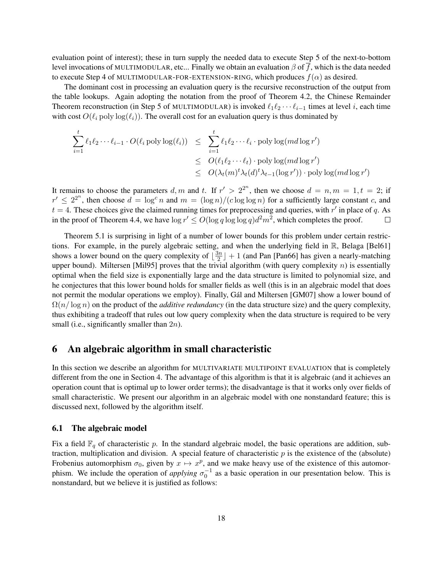evaluation point of interest); these in turn supply the needed data to execute Step 5 of the next-to-bottom level invocations of MULTIMODULAR, etc... Finally we obtain an evaluation *β* of *f*, which is the data needed to execute Step 4 of MULTIMODULAR-FOR-EXTENSION-RING, which produces  $f(\alpha)$  as desired.

The dominant cost in processing an evaluation query is the recursive reconstruction of the output from the table lookups. Again adopting the notation from the proof of Theorem 4.2, the Chinese Remainder Theorem reconstruction (in Step 5 of MULTIMODULAR) is invoked  $\ell_1 \ell_2 \cdots \ell_{i-1}$  times at level *i*, each time with cost  $O(\ell_i \text{ poly} \log(\ell_i))$ . The overall cost for an evaluation query is thus dominated by

$$
\sum_{i=1}^{t} \ell_1 \ell_2 \cdots \ell_{i-1} \cdot O(\ell_i \text{ poly log}(\ell_i)) \leq \sum_{i=1}^{t} \ell_1 \ell_2 \cdots \ell_i \cdot \text{poly log}(md \log r')
$$
  
\n
$$
\leq O(\ell_1 \ell_2 \cdots \ell_t) \cdot \text{poly log}(md \log r')
$$
  
\n
$$
\leq O(\lambda_t(m)^t \lambda_t(d)^t \lambda_{t-1}(\log r')) \cdot \text{poly log}(md \log r')
$$

It remains to choose the parameters  $d, m$  and  $t$ . If  $r' > 2^{2^n}$ , then we choose  $d = n, m = 1, t = 2$ ; if  $r' \leq 2^{2^n}$ , then choose  $d = \log^c n$  and  $m = (\log n) / (c \log \log n)$  for a sufficiently large constant *c*, and  $t = 4$ . These choices give the claimed running times for preprocessing and queries, with  $r'$  in place of  $q$ . As in the proof of Theorem 4.4, we have  $\log r' \le O(\log q \log \log q) d^2 m^2$ , which completes the proof.

Theorem 5.1 is surprising in light of a number of lower bounds for this problem under certain restrictions. For example, in the purely algebraic setting, and when the underlying field in  $\mathbb{R}$ , Belaga [Bel61] shows a lower bound on the query complexity of  $\frac{3n}{2}$  $\left[\frac{2m}{2}\right] + 1$  (and Pan [Pan66] has given a nearly-matching upper bound). Miltersen [Mil95] proves that the trivial algorithm (with query complexity *n*) is essentially optimal when the field size is exponentially large and the data structure is limited to polynomial size, and he conjectures that this lower bound holds for smaller fields as well (this is in an algebraic model that does not permit the modular operations we employ). Finally, Gál and Miltersen [GM07] show a lower bound of  $\Omega(n/\log n)$  on the product of the *additive redundancy* (in the data structure size) and the query complexity, thus exhibiting a tradeoff that rules out low query complexity when the data structure is required to be very small (i.e., significantly smaller than 2*n*).

### 6 An algebraic algorithm in small characteristic

In this section we describe an algorithm for MULTIVARIATE MULTIPOINT EVALUATION that is completely different from the one in Section 4. The advantage of this algorithm is that it is algebraic (and it achieves an operation count that is optimal up to lower order terms); the disadvantage is that it works only over fields of small characteristic. We present our algorithm in an algebraic model with one nonstandard feature; this is discussed next, followed by the algorithm itself.

### 6.1 The algebraic model

Fix a field  $\mathbb{F}_q$  of characteristic p. In the standard algebraic model, the basic operations are addition, subtraction, multiplication and division. A special feature of characteristic *p* is the existence of the (absolute) Frobenius automorphism  $\sigma_0$ , given by  $x \mapsto x^p$ , and we make heavy use of the existence of this automorphism. We include the operation of *applying*  $\sigma_0^{-1}$  as a basic operation in our presentation below. This is nonstandard, but we believe it is justified as follows: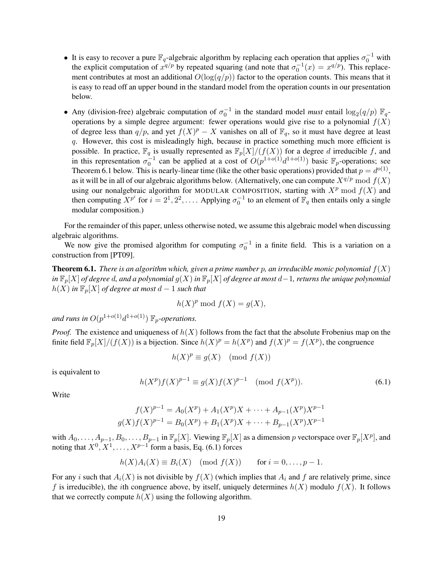- It is easy to recover a pure  $\mathbb{F}_q$ -algebraic algorithm by replacing each operation that applies  $\sigma_0^{-1}$  with the explicit computation of  $x^{q/p}$  by repeated squaring (and note that  $\sigma_0^{-1}(x) = x^{q/p}$ ). This replacement contributes at most an additional  $O(\log(q/p))$  factor to the operation counts. This means that it is easy to read off an upper bound in the standard model from the operation counts in our presentation below.
- Any (division-free) algebraic computation of  $\sigma_0^{-1}$  in the standard model *must* entail  $\log_2(q/p)$   $\mathbb{F}_q$ operations by a simple degree argument: fewer operations would give rise to a polynomial  $f(X)$ of degree less than  $q/p$ , and yet  $f(X)^p - X$  vanishes on all of  $\mathbb{F}_q$ , so it must have degree at least *q*. However, this cost is misleadingly high, because in practice something much more efficient is possible. In practice,  $\mathbb{F}_q$  is usually represented as  $\mathbb{F}_p[X]/(f(X))$  for a degree *d* irreducible *f*, and in this representation  $\sigma_0^{-1}$  can be applied at a cost of  $O(p^{1+o(1)}d^{1+o(1)})$  basic  $\mathbb{F}_p$ -operations; see Theorem 6.1 below. This is nearly-linear time (like the other basic operations) provided that  $p = d^{o(1)}$ , as it will be in all of our algebraic algorithms below. (Alternatively, one can compute  $X^{q/p} \bmod f(X)$ using our nonalgebraic algorithm for MODULAR COMPOSITION, starting with *X<sup>p</sup>* mod *f*(*X*) and then computing  $X^{p^i}$  for  $i = 2^1, 2^2, \ldots$ . Applying  $\sigma_0^{-1}$  to an element of  $\mathbb{F}_q$  then entails only a single modular composition.)

For the remainder of this paper, unless otherwise noted, we assume this algebraic model when discussing algebraic algorithms.

We now give the promised algorithm for computing  $\sigma_0^{-1}$  in a finite field. This is a variation on a construction from [PT09].

**Theorem 6.1.** *There is an algorithm which, given a prime number p, an irreducible monic polynomial*  $f(X)$ *in* F*p*[*X*] *of degree d, and a polynomial g*(*X*) *in* F*p*[*X*] *of degree at most d−*1*, returns the unique polynomial*  $h(X)$  *in*  $\mathbb{F}_p[X]$  *of degree at most*  $d-1$  *such that* 

$$
h(X)^p \bmod f(X) = g(X),
$$

*and runs in*  $O(p^{1+o(1)}d^{1+o(1)})$   $\mathbb{F}_p$ *-operations.* 

*Proof.* The existence and uniqueness of  $h(X)$  follows from the fact that the absolute Frobenius map on the finite field  $\mathbb{F}_p[X]/(f(X))$  is a bijection. Since  $h(X)^p = h(X^p)$  and  $f(X)^p = f(X^p)$ , the congruence

$$
h(X)^p \equiv g(X) \pmod{f(X)}
$$

is equivalent to

$$
h(X^p)f(X)^{p-1} \equiv g(X)f(X)^{p-1} \pmod{f(X^p)}.
$$
\n(6.1)

Write

$$
f(X)^{p-1} = A_0(X^p) + A_1(X^p)X + \dots + A_{p-1}(X^p)X^{p-1}
$$

$$
g(X)f(X)^{p-1} = B_0(X^p) + B_1(X^p)X + \dots + B_{p-1}(X^p)X^{p-1}
$$

with  $A_0, \ldots, A_{p-1}, B_0, \ldots, B_{p-1}$  in  $\mathbb{F}_p[X]$ . Viewing  $\mathbb{F}_p[X]$  as a dimension *p* vectorspace over  $\mathbb{F}_p[X^p]$ , and noting that  $X^0, X^1, \ldots, X^{p-1}$  form a basis, Eq. (6.1) forces

$$
h(X)A_i(X) \equiv B_i(X) \pmod{f(X)} \quad \text{for } i = 0, \ldots, p-1.
$$

For any *i* such that  $A_i(X)$  is not divisible by  $f(X)$  (which implies that  $A_i$  and  $f$  are relatively prime, since *f* is irreducible), the *i*th congruence above, by itself, uniquely determines  $h(X)$  modulo  $f(X)$ . It follows that we correctly compute  $h(X)$  using the following algorithm.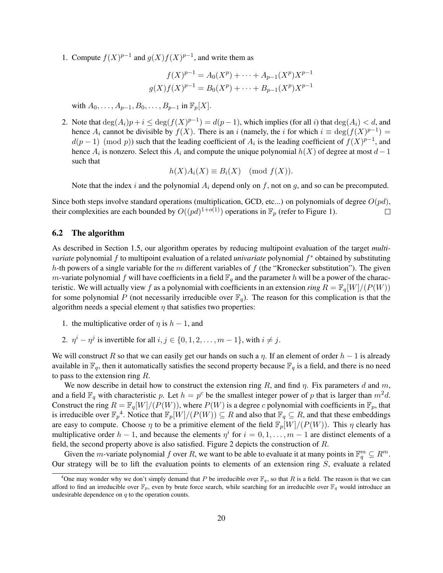1. Compute  $f(X)^{p-1}$  and  $g(X)f(X)^{p-1}$ , and write them as

$$
f(X)^{p-1} = A_0(X^p) + \dots + A_{p-1}(X^p)X^{p-1}
$$

$$
g(X)f(X)^{p-1} = B_0(X^p) + \dots + B_{p-1}(X^p)X^{p-1}
$$

with  $A_0, \ldots, A_{p-1}, B_0, \ldots, B_{p-1}$  in  $\mathbb{F}_p[X]$ .

2. Note that  $\deg(A_i)p + i \leq \deg(f(X)^{p-1}) = d(p-1)$ , which implies (for all *i*) that  $\deg(A_i) < d$ , and hence  $A_i$  cannot be divisible by  $f(X)$ . There is an *i* (namely, the *i* for which  $i \equiv \deg(f(X)^{p-1}) =$  $d(p-1)$  (mod *p*)) such that the leading coefficient of  $A_i$  is the leading coefficient of  $f(X)^{p-1}$ , and hence *A<sup>i</sup>* is nonzero. Select this *A<sup>i</sup>* and compute the unique polynomial *h*(*X*) of degree at most *d−*1 such that

$$
h(X)A_i(X) \equiv B_i(X) \pmod{f(X)}.
$$

Note that the index *i* and the polynomial *A<sup>i</sup>* depend only on *f*, not on *g*, and so can be precomputed.

Since both steps involve standard operations (multiplication, GCD, etc...) on polynomials of degree *O*(*pd*), their complexities are each bounded by  $O((pd)^{1+o(1)})$  operations in  $\mathbb{F}_p$  (refer to Figure 1).  $\Box$ 

### 6.2 The algorithm

As described in Section 1.5, our algorithm operates by reducing multipoint evaluation of the target *multivariate* polynomial *f* to multipoint evaluation of a related *univariate* polynomial *f ∗* obtained by substituting *h*-th powers of a single variable for the *m* different variables of *f* (the "Kronecker substitution"). The given *m*-variate polynomial *f* will have coefficients in a field  $\mathbb{F}_q$  and the parameter *h* will be a power of the characteristic. We will actually view *f* as a polynomial with coefficients in an extension *ring*  $R = \mathbb{F}_q[W]/(P(W))$ for some polynomial *P* (not necessarily irreducible over  $\mathbb{F}_q$ ). The reason for this complication is that the algorithm needs a special element  $\eta$  that satisfies two properties:

- 1. the multiplicative order of  $\eta$  is  $h-1$ , and
- 2.  $\eta^i \eta^j$  is invertible for all  $i, j \in \{0, 1, 2, \dots, m-1\}$ , with  $i \neq j$ .

We will construct *R* so that we can easily get our hands on such a *η*. If an element of order *h −* 1 is already available in  $\mathbb{F}_q$ , then it automatically satisfies the second property because  $\mathbb{F}_q$  is a field, and there is no need to pass to the extension ring *R*.

We now describe in detail how to construct the extension ring  $R$ , and find  $\eta$ . Fix parameters  $d$  and  $m$ , and a field  $\mathbb{F}_q$  with characteristic p. Let  $h = p^c$  be the smallest integer power of p that is larger than  $m^2d$ . Construct the ring  $R = \mathbb{F}_q[W]/(P(W))$ , where  $P(W)$  is a degree *c* polynomial with coefficients in  $\mathbb{F}_p$ , that is irreducible over  $\mathbb{F}_p^4$ . Notice that  $\mathbb{F}_p[W]/(P(W)) \subseteq R$  and also that  $\mathbb{F}_q \subseteq R$ , and that these embeddings are easy to compute. Choose  $\eta$  to be a primitive element of the field  $\mathbb{F}_p[W]/(P(W))$ . This  $\eta$  clearly has multiplicative order  $h-1$ , and because the elements  $\eta^i$  for  $i=0,1,\ldots,m-1$  are distinct elements of a field, the second property above is also satisfied. Figure 2 depicts the construction of *R*.

Given the *m*-variate polynomial *f* over *R*, we want to be able to evaluate it at many points in  $\mathbb{F}_q^m \subseteq R^m$ . Our strategy will be to lift the evaluation points to elements of an extension ring *S*, evaluate a related

<sup>&</sup>lt;sup>4</sup>One may wonder why we don't simply demand that *P* be irreducible over  $\mathbb{F}_q$ , so that *R* is a field. The reason is that we can afford to find an irreducible over  $\mathbb{F}_p$ , even by brute force search, while searching for an irreducible over  $\mathbb{F}_q$  would introduce an undesirable dependence on *q* to the operation counts.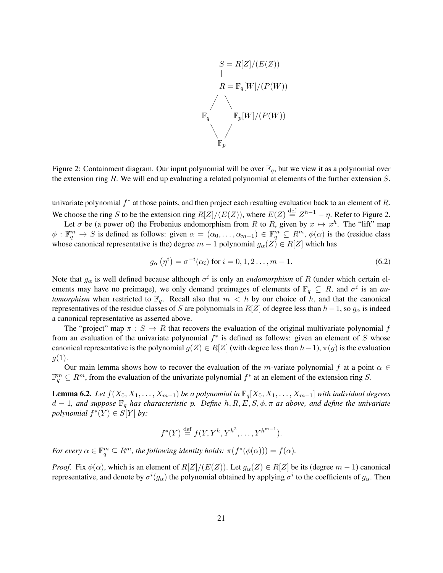

Figure 2: Containment diagram. Our input polynomial will be over  $\mathbb{F}_q$ , but we view it as a polynomial over the extension ring *R*. We will end up evaluating a related polynomial at elements of the further extension *S*.

univariate polynomial *f ∗* at those points, and then project each resulting evaluation back to an element of *R*. We choose the ring *S* to be the extension ring  $R[Z]/(E(Z))$ , where  $E(Z) \stackrel{\text{def}}{=} Z^{h-1} - \eta$ . Refer to Figure 2.

Let  $\sigma$  be (a power of) the Frobenius endomorphism from *R* to *R*, given by  $x \mapsto x^h$ . The "lift" map  $\phi: \mathbb{F}_q^m \to S$  is defined as follows: given  $\alpha = (\alpha_0, \dots, \alpha_{m-1}) \in \mathbb{F}_q^m \subseteq R^m$ ,  $\phi(\alpha)$  is the (residue class whose canonical representative is the) degree  $m - 1$  polynomial  $g_{\alpha}(Z) \in R[Z]$  which has

$$
g_{\alpha}(\eta^{i}) = \sigma^{-i}(\alpha_{i}) \text{ for } i = 0, 1, 2 \dots, m - 1.
$$
 (6.2)

Note that  $g_{\alpha}$  is well defined because although  $\sigma^i$  is only an *endomorphism* of R (under which certain elements may have no preimage), we only demand preimages of elements of  $\mathbb{F}_q \subseteq R$ , and  $\sigma^i$  is an *automorphism* when restricted to  $\mathbb{F}_q$ . Recall also that  $m < h$  by our choice of h, and that the canonical representatives of the residue classes of *S* are polynomials in  $R[Z]$  of degree less than  $h-1$ , so  $g_\alpha$  is indeed a canonical representative as asserted above.

The "project" map  $\pi : S \to R$  that recovers the evaluation of the original multivariate polynomial f from an evaluation of the univariate polynomial *f ∗* is defined as follows: given an element of *S* whose canonical representative is the polynomial  $g(Z) \in R[Z]$  (with degree less than  $h-1$ ),  $\pi(g)$  is the evaluation  $g(1)$ .

Our main lemma shows how to recover the evaluation of the *m*-variate polynomial *f* at a point  $\alpha \in$  $\mathbb{F}_q^m \subseteq R^m$ , from the evaluation of the univariate polynomial  $f^*$  at an element of the extension ring *S*.

**Lemma 6.2.** *Let*  $f(X_0, X_1, \ldots, X_{m-1})$  *be a polynomial in*  $\mathbb{F}_q[X_0, X_1, \ldots, X_{m-1}]$  *with individual degrees d −* 1*, and suppose* F*<sup>q</sup> has characteristic p. Define h, R, E, S, ϕ, π as above, and define the univariate polynomial*  $f^*(Y) \in S[Y]$  *by:* 

$$
f^*(Y) \stackrel{\text{def}}{=} f(Y, Y^h, Y^{h^2}, \dots, Y^{h^{m-1}}).
$$

*For every*  $\alpha \in \mathbb{F}_q^m \subseteq R^m$ , the following identity holds:  $\pi(f^*(\phi(\alpha))) = f(\alpha)$ .

*Proof.* Fix  $\phi(\alpha)$ , which is an element of  $R[Z]/(E(Z))$ . Let  $g_{\alpha}(Z) \in R[Z]$  be its (degree  $m - 1$ ) canonical representative, and denote by  $\sigma^i(g_\alpha)$  the polynomial obtained by applying  $\sigma^i$  to the coefficients of  $g_\alpha$ . Then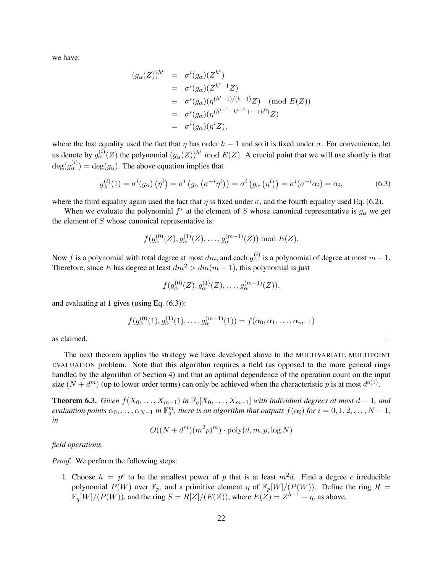we have:

$$
(g_{\alpha}(Z))^{h^{i}} = \sigma^{i}(g_{\alpha})(Z^{h^{i}})
$$
  
\n
$$
= \sigma^{i}(g_{\alpha})(Z^{h^{i}-1}Z)
$$
  
\n
$$
\equiv \sigma^{i}(g_{\alpha})(\eta^{(h^{i}-1)/(h-1)}Z) \pmod{E(Z)}
$$
  
\n
$$
= \sigma^{i}(g_{\alpha})(\eta^{(h^{i}-1+h^{i-2}+\cdots+h^{0})}Z)
$$
  
\n
$$
= \sigma^{i}(g_{\alpha})(\eta^{i}Z),
$$

where the last equality used the fact that  $\eta$  has order  $h - 1$  and so it is fixed under  $\sigma$ . For convenience, let us denote by  $g_{\alpha}^{(i)}(Z)$  the polynomial  $(g_{\alpha}(Z))^{h^i} \text{ mod } E(Z)$ . A crucial point that we will use shortly is that  $deg(g_{\alpha}^{(i)}) = deg(g_{\alpha})$ . The above equation implies that

$$
g_{\alpha}^{(i)}(1) = \sigma^{i}(g_{\alpha}) \left( \eta^{i} \right) = \sigma^{i} \left( g_{\alpha} \left( \sigma^{-i} \eta^{i} \right) \right) = \sigma^{i} \left( g_{\alpha} \left( \eta^{i} \right) \right) = \sigma^{i} (\sigma^{-i} \alpha_{i}) = \alpha_{i}, \tag{6.3}
$$

where the third equality again used the fact that  $\eta$  is fixed under  $\sigma$ , and the fourth equality used Eq. (6.2).

When we evaluate the polynomial  $f^*$  at the element of *S* whose canonical representative is  $g_\alpha$  we get the element of *S* whose canonical representative is:

$$
f(g_{\alpha}^{(0)}(Z), g_{\alpha}^{(1)}(Z), \ldots, g_{\alpha}^{(m-1)}(Z)) \bmod E(Z).
$$

Now *f* is a polynomial with total degree at most  $dm$ , and each  $g_\alpha^{(i)}$  is a polynomial of degree at most  $m-1$ . Therefore, since *E* has degree at least  $dm^2 > dm(m-1)$ , this polynomial is just

$$
f(g_{\alpha}^{(0)}(Z), g_{\alpha}^{(1)}(Z), \ldots, g_{\alpha}^{(m-1)}(Z)),
$$

and evaluating at 1 gives (using Eq. (6.3)):

$$
f(g_{\alpha}^{(0)}(1), g_{\alpha}^{(1)}(1), \ldots, g_{\alpha}^{(m-1)}(1)) = f(\alpha_0, \alpha_1, \ldots, \alpha_{m-1})
$$

as claimed.

The next theorem applies the strategy we have developed above to the MULTIVARIATE MULTIPOINT EVALUATION problem. Note that this algorithm requires a field (as opposed to the more general rings handled by the algorithm of Section 4) and that an optimal dependence of the operation count on the input size  $(N + d<sup>m</sup>)$  (up to lower order terms) can only be achieved when the characteristic p is at most  $d<sup>o(1)</sup>$ .

**Theorem 6.3.** *Given*  $f(X_0, \ldots, X_{m-1})$  *in*  $\mathbb{F}_q[X_0, \ldots, X_{m-1}]$  *with individual degrees at most d* − 1*, and* evaluation points  $\alpha_0, \ldots, \alpha_{N-1}$  in  $\mathbb{F}_q^m$ , there is an algorithm that outputs  $f(\alpha_i)$  for  $i = 0, 1, 2, \ldots, N-1$ , *in*

$$
O((N+d^m)(m^2p)^m) \cdot \text{poly}(d, m, p, \log N)
$$

*field operations.*

*Proof.* We perform the following steps:

1. Choose  $h = p^c$  to be the smallest power of p that is at least  $m^2d$ . Find a degree c irreducible polynomial  $P(W)$  over  $\mathbb{F}_p$ , and a primitive element  $\eta$  of  $\mathbb{F}_p[W]/(P(W))$ . Define the ring  $R =$  $\mathbb{F}_q[W]/(P(W))$ , and the ring  $S = R[Z]/(E(Z))$ , where  $E(Z) = Z^{h-1} - \eta$ , as above.

 $\Box$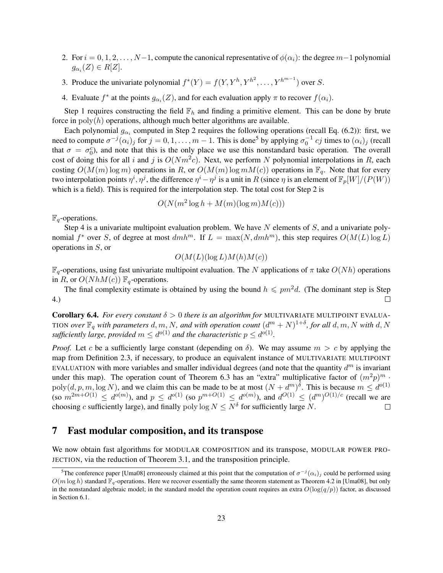- 2. For  $i = 0, 1, 2, \ldots, N-1$ , compute the canonical representative of  $\phi(\alpha_i)$ : the degree  $m-1$  polynomial  $g_{\alpha_i}(Z) \in R[Z].$
- 3. Produce the univariate polynomial  $f^*(Y) = f(Y, Y^h, Y^{h^2}, \ldots, Y^{h^{m-1}})$  over *S*.
- 4. Evaluate  $f^*$  at the points  $g_{\alpha_i}(Z)$ , and for each evaluation apply  $\pi$  to recover  $f(\alpha_i)$ .

Step 1 requires constructing the field  $\mathbb{F}_h$  and finding a primitive element. This can be done by brute force in poly(*h*) operations, although much better algorithms are available.

Each polynomial  $g_{\alpha_i}$  computed in Step 2 requires the following operations (recall Eq. (6.2)): first, we need to compute  $\sigma^{-j}(\alpha_i)_j$  for  $j = 0, 1, ..., m - 1$ . This is done<sup>5</sup> by applying  $\sigma_0^{-1}$  cj times to  $(\alpha_i)_j$  (recall that  $\sigma = \sigma_0^c$ , and note that this is the only place we use this nonstandard basic operation. The overall cost of doing this for all *i* and *j* is  $O(Nm^2c)$ . Next, we perform *N* polynomial interpolations in *R*, each costing  $O(M(m) \log m)$  operations in *R*, or  $O(M(m) \log m M(c))$  operations in  $\mathbb{F}_q$ . Note that for every two interpolation points  $\eta^i, \eta^j$ , the difference  $\eta^i - \eta^j$  is a unit in R (since  $\eta$  is an element of  $\mathbb{F}_p[W]/(P(W))$ which is a field). This is required for the interpolation step. The total cost for Step 2 is

$$
O(N(m^2 \log h + M(m)(\log m)M(c)))
$$

F*q*-operations.

Step 4 is a univariate multipoint evaluation problem. We have *N* elements of *S*, and a univariate polynomial  $f^*$  over *S*, of degree at most  $dmh^m$ . If  $L = \max(N, dmh^m)$ , this step requires  $O(M(L) \log L)$ operations in *S*, or

$$
O(M(L)(\log L)M(h)M(c))
$$

F*q*-operations, using fast univariate multipoint evaluation. The *N* applications of *π* take *O*(*Nh*) operations in *R*, or  $O(NhM(c))$   $\mathbb{F}_q$ -operations.

The final complexity estimate is obtained by using the bound  $h \leq p m^2 d$ . (The dominant step is Step 4.)  $\Box$ 

Corollary 6.4. *For every constant*  $\delta > 0$  *there is an algorithm for MULTIVARIATE MULTIPOINT EVALUA-*TION *over*  $\mathbb{F}_q$  *with parameters*  $d, m, N$ *, and with operation count*  $(d^m + N)^{1+\delta}$ *, for all*  $d, m, N$  *with*  $d, N$ *sufficiently large, provided*  $m \leq d^{o(1)}$  *and the characteristic*  $p \leq d^{o(1)}$ *.* 

*Proof.* Let *c* be a sufficiently large constant (depending on *δ*). We may assume *m > c* by applying the map from Definition 2.3, if necessary, to produce an equivalent instance of MULTIVARIATE MULTIPOINT EVALUATION with more variables and smaller individual degrees (and note that the quantity *d <sup>m</sup>* is invariant under this map). The operation count of Theorem 6.3 has an "extra" multiplicative factor of  $(m^2p)^m$ .  $poly(d, p, m, \log N)$ , and we claim this can be made to be at most  $(N + d^m)^{\delta}$ . This is because  $m \leq d^{o(1)}$ (so  $m^{2m+O(1)} \le d^{o(m)}$ ), and  $p \le d^{o(1)}$  (so  $p^{m+O(1)} \le d^{o(m)}$ ), and  $d^{O(1)} \le (d^m)^{O(1)/c}$  (recall we are choosing *c* sufficiently large), and finally poly log  $N \leq N^{\delta}$  for sufficiently large N.  $\Box$ 

# 7 Fast modular composition, and its transpose

We now obtain fast algorithms for MODULAR COMPOSITION and its transpose, MODULAR POWER PRO-JECTION, via the reduction of Theorem 3.1, and the transposition principle.

<sup>&</sup>lt;sup>5</sup>The conference paper [Uma08] erroneously claimed at this point that the computation of  $\sigma^{-j}(\alpha_i)_j$  could be performed using  $O(m \log h)$  standard  $\mathbb{F}_q$ -operations. Here we recover essentially the same theorem statement as Theorem 4.2 in [Uma08], but only in the nonstandard algebraic model; in the standard model the operation count requires an extra  $O(\log(q/p))$  factor, as discussed in Section 6.1.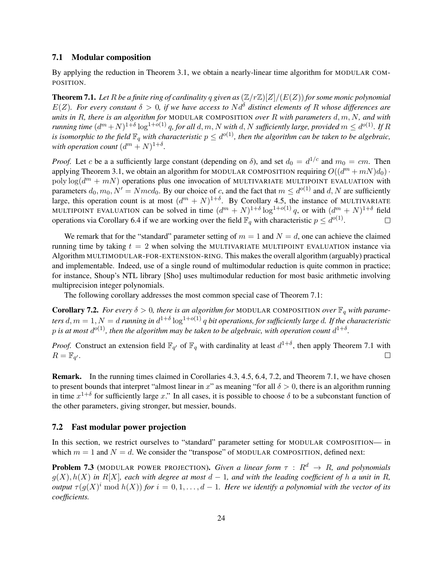### 7.1 Modular composition

By applying the reduction in Theorem 3.1, we obtain a nearly-linear time algorithm for MODULAR COM-POSITION.

**Theorem 7.1.** Let R be a finite ring of cardinality q given as  $(\mathbb{Z}/r\mathbb{Z})[Z]/(E(Z))$  for some monic polynomial *E*(*Z*)*. For every constant*  $δ > 0$ *, if we have access to*  $Nd<sup>δ</sup>$  *distinct elements of R whose differences are units in R, there is an algorithm for* MODULAR COMPOSITION *over R with parameters d, m, N, and with* running time  $(d^m+N)^{1+\delta}\log^{1+o(1)}q$ , for all  $d,m,N$  with  $d,N$  sufficiently large, provided  $m\leq d^{o(1)}.$  If R is isomorphic to the field  $\mathbb{F}_q$  with characteristic  $p\leq d^{o(1)}$ , then the algorithm can be taken to be algebraic, *with operation count*  $(d<sup>m</sup> + N)^{1+\delta}$ *.* 

*Proof.* Let *c* be a a sufficiently large constant (depending on  $\delta$ ), and set  $d_0 = d^{1/c}$  and  $m_0 = cm$ . Then applying Theorem 3.1, we obtain an algorithm for MODULAR COMPOSITION requiring  $O((d^m + mN)d_0)$ .  $poly log(d<sup>m</sup> + m<sup>N</sup>)$  operations plus one invocation of MULTIVARIATE MULTIPOINT EVALUATION with parameters  $d_0, m_0, N' = Nmcd_0$ . By our choice of *c*, and the fact that  $m \leq d^{o(1)}$  and  $d, N$  are sufficiently large, this operation count is at most  $(d<sup>m</sup> + N)<sup>1+\delta</sup>$ . By Corollary 4.5, the instance of MULTIVARIATE MULTIPOINT EVALUATION can be solved in time  $(d<sup>m</sup> + N)^{1+\delta} \log^{1+o(1)} q$ , or with  $(d<sup>m</sup> + N)^{1+\delta}$  field operations via Corollary 6.4 if we are working over the field  $\mathbb{F}_q$  with characteristic  $p \leq d^{o(1)}$ .  $\Box$ 

We remark that for the "standard" parameter setting of  $m = 1$  and  $N = d$ , one can achieve the claimed running time by taking *t* = 2 when solving the MULTIVARIATE MULTIPOINT EVALUATION instance via Algorithm MULTIMODULAR-FOR-EXTENSION-RING. This makes the overall algorithm (arguably) practical and implementable. Indeed, use of a single round of multimodular reduction is quite common in practice; for instance, Shoup's NTL library [Sho] uses multimodular reduction for most basic arithmetic involving multiprecision integer polynomials.

The following corollary addresses the most common special case of Theorem 7.1:

**Corollary 7.2.** *For every*  $\delta > 0$ *, there is an algorithm for MODULAR COMPOSITION over*  $\mathbb{F}_q$  *with parame* $t$ ers  $d,m=1,N=d$  running in  $d^{1+\delta}\log^{1+o(1)}q$  bit operations, for sufficiently large  $d.$  If the characteristic  $p$  *is at most*  $d^{o(1)}$ *, then the algorithm may be taken to be algebraic, with operation count*  $d^{1+\delta}.$ 

*Proof.* Construct an extension field  $\mathbb{F}_{q'}$  of  $\mathbb{F}_q$  with cardinality at least  $d^{1+\delta}$ , then apply Theorem 7.1 with  $R = \mathbb{F}_{q'}$ .  $\Box$ 

Remark. In the running times claimed in Corollaries 4.3, 4.5, 6.4, 7.2, and Theorem 7.1, we have chosen to present bounds that interpret "almost linear in x" as meaning "for all  $\delta > 0$ , there is an algorithm running in time  $x^{1+\delta}$  for sufficiently large x." In all cases, it is possible to choose  $\delta$  to be a subconstant function of the other parameters, giving stronger, but messier, bounds.

### 7.2 Fast modular power projection

In this section, we restrict ourselves to "standard" parameter setting for MODULAR COMPOSITION— in which  $m = 1$  and  $N = d$ . We consider the "transpose" of MODULAR COMPOSITION, defined next:

**Problem 7.3** (MODULAR POWER PROJECTION). *Given a linear form*  $\tau$  :  $R^d \rightarrow R$ *, and polynomials*  $g(X)$ ,  $h(X)$  *in*  $R[X]$ *, each with degree at most*  $d-1$ *, and with the leading coefficient of*  $h$  *a unit in*  $R$ *, output*  $\tau(g(X)^i \text{ mod } h(X))$  *for*  $i = 0, 1, \ldots, d - 1$ . Here we identify a polynomial with the vector of its *coefficients.*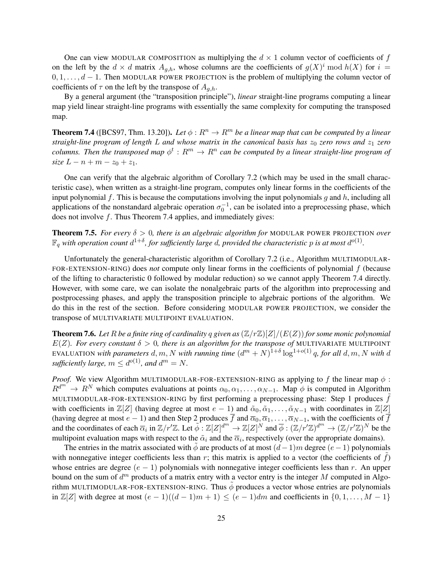One can view MODULAR COMPOSITION as multiplying the  $d \times 1$  column vector of coefficients of  $f$ on the left by the  $d \times d$  matrix  $A_{g,h}$ , whose columns are the coefficients of  $g(X)^i \mod h(X)$  for  $i =$ 0*,* 1*, . . . , d −* 1. Then MODULAR POWER PROJECTION is the problem of multiplying the column vector of coefficients of  $\tau$  on the left by the transpose of  $A_{q,h}$ .

By a general argument (the "transposition principle"), *linear* straight-line programs computing a linear map yield linear straight-line programs with essentially the same complexity for computing the transposed map.

**Theorem 7.4** ([BCS97, Thm. 13.20]). Let  $\phi : R^n \to R^m$  be a linear map that can be computed by a linear *straight-line program of length L and whose matrix in the canonical basis has*  $z_0$  *zero rows and*  $z_1$  *zero columns. Then the transposed map*  $\phi^t : R^m \to R^n$  *can be computed by a linear straight-line program of*  $size L - n + m - z_0 + z_1$ .

One can verify that the algebraic algorithm of Corollary 7.2 (which may be used in the small characteristic case), when written as a straight-line program, computes only linear forms in the coefficients of the input polynomial *f*. This is because the computations involving the input polynomials *g* and *h*, including all applications of the nonstandard algebraic operation  $\sigma_0^{-1}$ , can be isolated into a preprocessing phase, which does not involve *f*. Thus Theorem 7.4 applies, and immediately gives:

**Theorem 7.5.** *For every*  $\delta > 0$ *, there is an algebraic algorithm for* MODULAR POWER PROJECTION *over*  $\mathbb{F}_q$  with operation count  $d^{1+\delta}$ , for sufficiently large  $d$ , provided the characteristic  $p$  is at most  $d^{o(1)}$ .

Unfortunately the general-characteristic algorithm of Corollary 7.2 (i.e., Algorithm MULTIMODULAR-FOR-EXTENSION-RING) does *not* compute only linear forms in the coefficients of polynomial *f* (because of the lifting to characteristic 0 followed by modular reduction) so we cannot apply Theorem 7.4 directly. However, with some care, we can isolate the nonalgebraic parts of the algorithm into preprocessing and postprocessing phases, and apply the transposition principle to algebraic portions of the algorithm. We do this in the rest of the section. Before considering MODULAR POWER PROJECTION, we consider the transpose of MULTIVARIATE MULTIPOINT EVALUATION.

**Theorem 7.6.** Let R be a finite ring of cardinality q given as  $(\mathbb{Z}/r\mathbb{Z})[Z]/(E(Z))$  for some monic polynomial  $E(Z)$ *. For every constant*  $\delta > 0$ *, there is an algorithm for the transpose of MULTIVARIATE MULTIPOINT* EVALUATION with parameters  $d, m, N$  with running time  $(d^m + N)^{1+\delta} \log^{1+o(1)} q$ , for all  $d, m, N$  with  $d$ *sufficiently large,*  $m \leq d^{o(1)}$ *, and*  $d^m = N$ *.* 

*Proof.* We view Algorithm MULTIMODULAR-FOR-EXTENSION-RING as applying to f the linear map  $\phi$ :  $R^{d^m} \to R^N$  which computes evaluations at points  $\alpha_0, \alpha_1, \ldots, \alpha_{N-1}$ . Map  $\phi$  is computed in Algorithm MULTIMODULAR-FOR-EXTENSION-RING by first performing a preprocessing phase: Step 1 produces f with coefficients in  $\mathbb{Z}[Z]$  (having degree at most  $e - 1$ ) and  $\tilde{\alpha}_0, \tilde{\alpha}_1, \ldots, \tilde{\alpha}_{N-1}$  with coordinates in  $\mathbb{Z}[Z]$ (having degree at most  $e - 1$ ) and then Step 2 produces  $\overline{f}$  and  $\overline{\alpha}_0, \overline{\alpha}_1, \ldots, \overline{\alpha}_{N-1}$ , with the coefficients of  $\overline{f}$ and the coordinates of each  $\overline{\alpha}_i$  in  $\mathbb{Z}/r'\mathbb{Z}$ . Let  $\tilde{\phi}: \mathbb{Z}[Z]^{d^m} \to \mathbb{Z}[Z]^N$  and  $\overline{\phi}: (\mathbb{Z}/r'\mathbb{Z})^{d^m} \to (\mathbb{Z}/r'\mathbb{Z})^N$  be the multipoint evaluation maps with respect to the  $\tilde{\alpha}_i$  and the  $\overline{\alpha}_i$ , respectively (over the appropriate domains).

The entries in the matrix associated with  $\phi$  are products of at most  $(d-1)m$  degree  $(e-1)$  polynomials with nonnegative integer coefficients less than  $r$ ; this matrix is applied to a vector (the coefficients of  $f$ ) whose entries are degree  $(e - 1)$  polynomials with nonnegative integer coefficients less than *r*. An upper bound on the sum of *d <sup>m</sup>* products of a matrix entry with a vector entry is the integer *M* computed in Algorithm MULTIMODULAR-FOR-EXTENSION-RING. Thus  $\phi$  produces a vector whose entries are polynomials in  $\mathbb{Z}[Z]$  with degree at most  $(e-1)((d-1)m+1) ≤ (e-1)dm$  and coefficients in  $\{0,1,\ldots,M-1\}$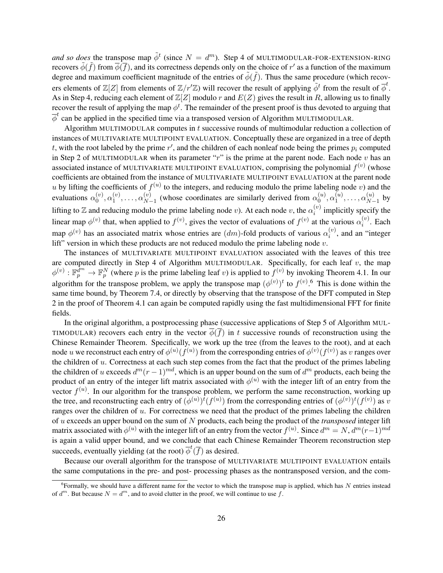*and so does* the transpose map  $\tilde{\phi}^t$  (since  $N = d^m$ ). Step 4 of MULTIMODULAR-FOR-EXTENSION-RING recovers  $\tilde{\phi}(\tilde{f})$  from  $\overline{\phi}(\overline{f})$ , and its correctness depends only on the choice of *r'* as a function of the maximum degree and maximum coefficient magnitude of the entries of  $\tilde{\phi}(\tilde{f})$ . Thus the same procedure (which recovers elements of  $\mathbb{Z}[Z]$  from elements of  $\mathbb{Z}/r'\mathbb{Z}$ ) will recover the result of applying  $\tilde{\phi}^t$  from the result of  $\overline{\phi}^t$ . As in Step 4, reducing each element of  $\mathbb{Z}[Z]$  modulo *r* and  $E(Z)$  gives the result in *R*, allowing us to finally recover the result of applying the map *ϕ t* . The remainder of the present proof is thus devoted to arguing that  $\overline{\phi}^t$  can be applied in the specified time via a transposed version of Algorithm MULTIMODULAR.

Algorithm MULTIMODULAR computes in *t* successive rounds of multimodular reduction a collection of instances of MULTIVARIATE MULTIPOINT EVALUATION. Conceptually these are organized in a tree of depth *t*, with the root labeled by the prime  $r'$ , and the children of each nonleaf node being the primes  $p_i$  computed in Step 2 of MULTIMODULAR when its parameter "*r*" is the prime at the parent node. Each node *v* has an associated instance of MULTIVARIATE MULTIPOINT EVALUATION, comprising the polynomial  $f^{(v)}$  (whose coefficients are obtained from the instance of MULTIVARIATE MULTIPOINT EVALUATION at the parent node *u* by lifting the coefficients of  $f^{(u)}$  to the integers, and reducing modulo the prime labeling node *v*) and the evaluations  $\alpha_0^{(v)}$  $\overset{(v)}{0}, \overset{(v)}{1}$  $\alpha_1^{(v)},\ldots,\alpha_{N^-}^{(v)}$  $\alpha_{N-1}^{(v)}$  (whose coordinates are similarly derived from  $\alpha_0^{(u)}$  $\alpha_0^{(u)}, \alpha_1^{(u)}$  $\alpha_1^{(u)}, \ldots, \alpha_{N-}^{(u)}$  $\chi_{N-1}^{(u)}$  by lifting to  $\mathbb Z$  and reducing modulo the prime labeling node *v*). At each node *v*, the  $\alpha_i^{(v)}$  $i^{\left(v\right)}$  implicitly specify the linear map  $\phi^{(v)}$  that, when applied to  $f^{(v)}$ , gives the vector of evaluations of  $f^{(v)}$  at the various  $\alpha_i^{(v)}$  $i^{(v)}$ . Each map  $\phi^{(v)}$  has an associated matrix whose entries are  $(dm)$ -fold products of various  $\alpha_i^{(v)}$  $i^{(v)}$ , and an "integer" lift" version in which these products are not reduced modulo the prime labeling node *v*.

The instances of MULTIVARIATE MULTIPOINT EVALUATION associated with the leaves of this tree are computed directly in Step 4 of Algorithm MULTIMODULAR. Specifically, for each leaf  $v$ , the map  $\phi^{(v)} : \mathbb{F}_p^{d^m} \to \mathbb{F}_p^N$  (where *p* is the prime labeling leaf *v*) is applied to  $f^{(v)}$  by invoking Theorem 4.1. In our algorithm for the transpose problem, we apply the transpose map  $(\phi^{(v)})^t$  to  $f^{(v)}$ . This is done within the same time bound, by Theorem 7.4, or directly by observing that the transpose of the DFT computed in Step 2 in the proof of Theorem 4.1 can again be computed rapidly using the fast multidimensional FFT for finite fields.

In the original algorithm, a postprocessing phase (successive applications of Step 5 of Algorithm MUL-TIMODULAR) recovers each entry in the vector  $\phi(f)$  in *t* successive rounds of reconstruction using the Chinese Remainder Theorem. Specifically, we work up the tree (from the leaves to the root), and at each node *u* we reconstruct each entry of  $\phi^{(u)}(f^{(u)})$  from the corresponding entries of  $\phi^{(v)}(f^{(v)})$  as *v* ranges over the children of *u*. Correctness at each such step comes from the fact that the product of the primes labeling the children of *u* exceeds  $d^m(r-1)^{md}$ , which is an upper bound on the sum of  $d^m$  products, each being the product of an entry of the integer lift matrix associated with *ϕ* (*u*) with the integer lift of an entry from the vector  $f^{(u)}$ . In our algorithm for the transpose problem, we perform the same reconstruction, working up the tree, and reconstructing each entry of  $(\phi^{(u)})^t(f^{(u)})$  from the corresponding entries of  $(\phi^{(v)})^t(f^{(v)})$  as *v* ranges over the children of *u*. For correctness we need that the product of the primes labeling the children of *u* exceeds an upper bound on the sum of *N* products, each being the product of the *transposed* integer lift matrix associated with  $\phi^{(u)}$  with the integer lift of an entry from the vector  $f^{(u)}$ . Since  $d^m = N$ ,  $d^m(r-1)^{md}$ is again a valid upper bound, and we conclude that each Chinese Remainder Theorem reconstruction step succeeds, eventually yielding (at the root)  $\overline{\phi}^t(\overline{f})$  as desired.

Because our overall algorithm for the transpose of MULTIVARIATE MULTIPOINT EVALUATION entails the same computations in the pre- and post- processing phases as the nontransposed version, and the com-

<sup>6</sup> Formally, we should have a different name for the vector to which the transpose map is applied, which has *N* entries instead of  $d^m$ . But because  $N = d^m$ , and to avoid clutter in the proof, we will continue to use f.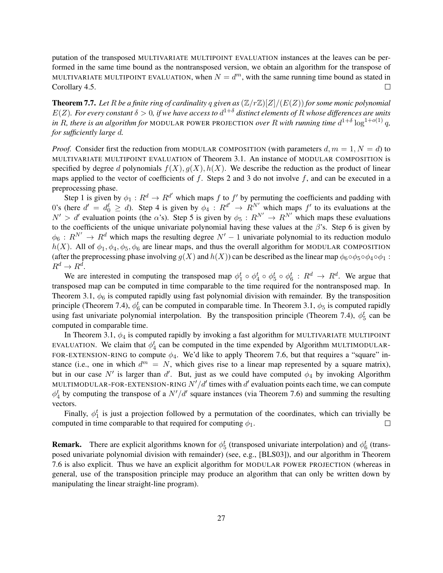putation of the transposed MULTIVARIATE MULTIPOINT EVALUATION instances at the leaves can be performed in the same time bound as the nontransposed version, we obtain an algorithm for the transpose of MULTIVARIATE MULTIPOINT EVALUATION, when  $N = d^m$ , with the same running time bound as stated in Corollary 4.5.  $\Box$ 

**Theorem 7.7.** Let R be a finite ring of cardinality q given as  $(\mathbb{Z}/r\mathbb{Z})[Z]/(E(Z))$  for some monic polynomial  $E(Z)$ . For every constant  $\delta > 0$ , if we have access to  $d^{1+\delta}$  distinct elements of R whose differences are units *in R, there is an algorithm for MODULAR POWER PROJECTION <i>over R with running time*  $d^{1+\delta} \log^{1+o(1)} q$ *, for sufficiently large d.*

*Proof.* Consider first the reduction from MODULAR COMPOSITION (with parameters  $d, m = 1, N = d$ ) to MULTIVARIATE MULTIPOINT EVALUATION of Theorem 3.1. An instance of MODULAR COMPOSITION is specified by degree *d* polynomials  $f(X)$ *,*  $g(X)$ *,*  $h(X)$ *.* We describe the reduction as the product of linear maps applied to the vector of coefficients of  $f$ . Steps 2 and 3 do not involve  $f$ , and can be executed in a preprocessing phase.

Step 1 is given by  $\phi_1: R^d \to R^{d'}$  which maps *f* to *f'* by permuting the coefficients and padding with 0's (here  $d' = d_0^{\ell} \ge d$ ). Step 4 is given by  $\phi_4 : R^{d'} \to R^{N'}$  which maps  $f'$  to its evaluations at the  $N' > d'$  evaluation points (the *α*'s). Step 5 is given by  $\phi_5 : R^{N'} \to R^{N'}$  which maps these evaluations to the coefficients of the unique univariate polynomial having these values at the *β*'s. Step 6 is given by  $\phi_6 : R^{N'} \to R^d$  which maps the resulting degree  $N' - 1$  univariate polynomial to its reduction modulo *h*(*X*). All of  $\phi_1, \phi_4, \phi_5, \phi_6$  are linear maps, and thus the overall algorithm for MODULAR COMPOSITION (after the preprocessing phase involving  $g(X)$  and  $h(X)$ ) can be described as the linear map  $\phi_6 \circ \phi_5 \circ \phi_4 \circ \phi_1$ :  $R^d \to R^d$ .

We are interested in computing the transposed map  $\phi_1^t \circ \phi_4^t \circ \phi_5^t \circ \phi_6^t : R^d \to R^d$ . We argue that transposed map can be computed in time comparable to the time required for the nontransposed map. In Theorem 3.1,  $\phi_6$  is computed rapidly using fast polynomial division with remainder. By the transposition principle (Theorem 7.4),  $\phi_6^t$  can be computed in comparable time. In Theorem 3.1,  $\phi_5$  is computed rapidly using fast univariate polynomial interpolation. By the transposition principle (Theorem 7.4),  $\phi_5^t$  can be computed in comparable time.

In Theorem 3.1,  $\phi_4$  is computed rapidly by invoking a fast algorithm for MULTIVARIATE MULTIPOINT EVALUATION. We claim that  $\phi_4^t$  can be computed in the time expended by Algorithm MULTIMODULAR-FOR-EXTENSION-RING to compute *ϕ*4. We'd like to apply Theorem 7.6, but that requires a "square" instance (i.e., one in which  $d^m = N$ , which gives rise to a linear map represented by a square matrix), but in our case  $N'$  is larger than  $d'$ . But, just as we could have computed  $\phi_4$  by invoking Algorithm MULTIMODULAR-FOR-EXTENSION-RING  $N'/d'$  times with  $d'$  evaluation points each time, we can compute  $\phi_4^t$  by computing the transpose of a  $N'/d'$  square instances (via Theorem 7.6) and summing the resulting vectors.

Finally,  $\phi_1^t$  is just a projection followed by a permutation of the coordinates, which can trivially be computed in time comparable to that required for computing  $\phi_1$ .  $\Box$ 

**Remark.** There are explicit algorithms known for  $\phi_5^t$  (transposed univariate interpolation) and  $\phi_6^t$  (transposed univariate polynomial division with remainder) (see, e.g., [BLS03]), and our algorithm in Theorem 7.6 is also explicit. Thus we have an explicit algorithm for MODULAR POWER PROJECTION (whereas in general, use of the transposition principle may produce an algorithm that can only be written down by manipulating the linear straight-line program).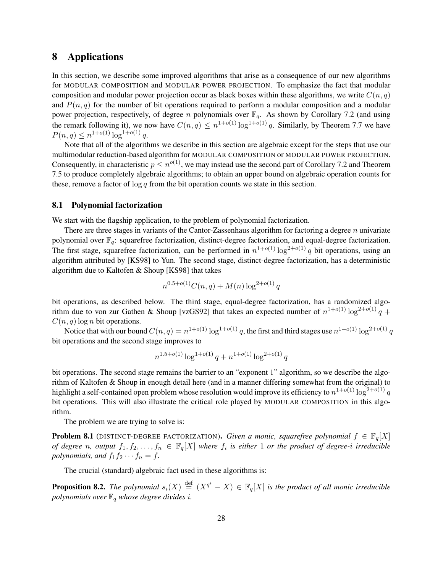# 8 Applications

In this section, we describe some improved algorithms that arise as a consequence of our new algorithms for MODULAR COMPOSITION and MODULAR POWER PROJECTION. To emphasize the fact that modular composition and modular power projection occur as black boxes within these algorithms, we write  $C(n, q)$ and  $P(n, q)$  for the number of bit operations required to perform a modular composition and a modular power projection, respectively, of degree *n* polynomials over  $\mathbb{F}_q$ . As shown by Corollary 7.2 (and using the remark following it), we now have  $C(n, q) \leq n^{1+o(1)} \log^{1+o(1)} q$ . Similarly, by Theorem 7.7 we have  $P(n,q) \leq n^{1+o(1)} \log^{1+o(1)} q$ .

Note that all of the algorithms we describe in this section are algebraic except for the steps that use our multimodular reduction-based algorithm for MODULAR COMPOSITION or MODULAR POWER PROJECTION. Consequently, in characteristic  $p \leq n^{o(1)}$ , we may instead use the second part of Corollary 7.2 and Theorem 7.5 to produce completely algebraic algorithms; to obtain an upper bound on algebraic operation counts for these, remove a factor of  $\log q$  from the bit operation counts we state in this section.

### 8.1 Polynomial factorization

We start with the flagship application, to the problem of polynomial factorization.

There are three stages in variants of the Cantor-Zassenhaus algorithm for factoring a degree *n* univariate polynomial over F*q*: squarefree factorization, distinct-degree factorization, and equal-degree factorization. The first stage, squarefree factorization, can be performed in  $n^{1+o(1)}\log^{2+o(1)}q$  bit operations, using an algorithm attributed by [KS98] to Yun. The second stage, distinct-degree factorization, has a deterministic algorithm due to Kaltofen & Shoup [KS98] that takes

$$
n^{0.5+o(1)}C(n,q) + M(n)\log^{2+o(1)}q
$$

bit operations, as described below. The third stage, equal-degree factorization, has a randomized algorithm due to von zur Gathen & Shoup [vzGS92] that takes an expected number of  $n^{1+o(1)}\log^{2+o(1)}q +$  $C(n, q)$  log *n* bit operations.

Notice that with our bound  $C(n, q) = n^{1+o(1)} \log^{1+o(1)} q$ , the first and third stages use  $n^{1+o(1)} \log^{2+o(1)} q$ bit operations and the second stage improves to

$$
n^{1.5+o(1)}\log^{1+o(1)}q + n^{1+o(1)}\log^{2+o(1)}q
$$

bit operations. The second stage remains the barrier to an "exponent 1" algorithm, so we describe the algorithm of Kaltofen & Shoup in enough detail here (and in a manner differing somewhat from the original) to highlight a self-contained open problem whose resolution would improve its efficiency to  $n^{1+o(1)}\log^{2+o(1)}q$ bit operations. This will also illustrate the critical role played by MODULAR COMPOSITION in this algorithm.

The problem we are trying to solve is:

**Problem 8.1** (DISTINCT-DEGREE FACTORIZATION). *Given a monic, squarefree polynomial*  $f \in \mathbb{F}_q[X]$ of degree n, output  $f_1, f_2, \ldots, f_n \in \mathbb{F}_q[X]$  where  $f_i$  is either 1 or the product of degree-i irreducible *polynomials, and*  $f_1 f_2 \cdots f_n = f$ .

The crucial (standard) algebraic fact used in these algorithms is:

**Proposition 8.2.** The polynomial  $s_i(X) \stackrel{\text{def}}{=} (X^{q^i} - X) \in \mathbb{F}_q[X]$  is the product of all monic irreducible *polynomials over*  $\mathbb{F}_q$  *whose degree divides <i>i*.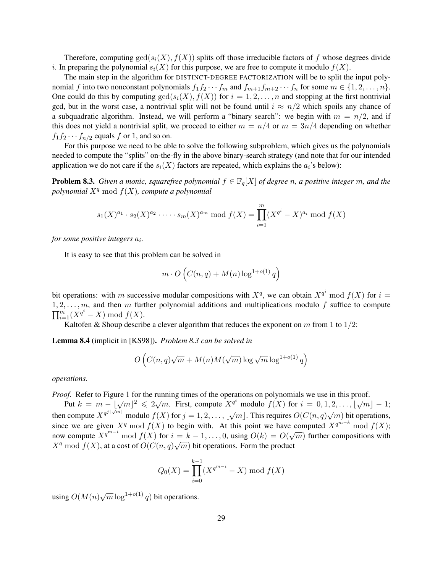Therefore, computing  $gcd(s_i(X), f(X))$  splits off those irreducible factors of f whose degrees divide *i*. In preparing the polynomial  $s_i(X)$  for this purpose, we are free to compute it modulo  $f(X)$ .

The main step in the algorithm for DISTINCT-DEGREE FACTORIZATION will be to split the input polynomial f into two nonconstant polynomials  $f_1 f_2 \cdots f_m$  and  $f_{m+1} f_{m+2} \cdots f_n$  for some  $m \in \{1, 2, \ldots, n\}$ . One could do this by computing  $gcd(s_i(X), f(X))$  for  $i = 1, 2, \ldots, n$  and stopping at the first nontrivial gcd, but in the worst case, a nontrivial split will not be found until  $i \approx n/2$  which spoils any chance of a subquadratic algorithm. Instead, we will perform a "binary search": we begin with  $m = n/2$ , and if this does not yield a nontrivial split, we proceed to either  $m = n/4$  or  $m = 3n/4$  depending on whether  $f_1 f_2 \cdots f_{n/2}$  equals *f* or 1, and so on.

For this purpose we need to be able to solve the following subproblem, which gives us the polynomials needed to compute the "splits" on-the-fly in the above binary-search strategy (and note that for our intended application we do not care if the  $s_i(X)$  factors are repeated, which explains the  $a_i$ 's below):

**Problem 8.3.** *Given a monic, squarefree polynomial*  $f \in \mathbb{F}_q[X]$  *of degree n, a positive integer m, and the polynomial*  $X^q$  mod  $f(X)$ *, compute a polynomial* 

$$
s_1(X)^{a_1} \cdot s_2(X)^{a_2} \cdot \dots \cdot s_m(X)^{a_m} \mod f(X) = \prod_{i=1}^m (X^{q^i} - X)^{a_i} \mod f(X)
$$

*for some positive integers a<sup>i</sup> .*

It is easy to see that this problem can be solved in

$$
m \cdot O\left(C(n, q) + M(n) \log^{1+o(1)} q\right)
$$

bit operations: with *m* successive modular compositions with  $X<sup>q</sup>$ , we can obtain  $X<sup>q</sup>$ <sup>*i*</sup> mod  $f(X)$  for  $i =$ 1*,* 2*, . . . , m*, and then *m* further polynomial additions and multiplications modulo *f* suffice to compute  $\prod_{i=1}^{m} (X^{q^i} - X) \mod f(X).$ 

Kaltofen & Shoup describe a clever algorithm that reduces the exponent on  $m$  from 1 to  $1/2$ :

Lemma 8.4 (implicit in [KS98]). *Problem 8.3 can be solved in*

$$
O\left(C(n,q)\sqrt{m} + M(n)M(\sqrt{m})\log \sqrt{m}\log^{1+o(1)}q\right)
$$

*operations.*

*Proof.* Refer to Figure 1 for the running times of the operations on polynomials we use in this proof.

Put  $k = m - \lfloor \sqrt{m} \rfloor^2 \le 2\sqrt{m}$ . First, compute  $X^{q^i}$  modulo  $f(X)$  for  $i = 0, 1, 2, ..., \lfloor \sqrt{m} \rfloor - 1$ ; then compute  $X^{q^{j\lfloor \sqrt{m} \rfloor}}$  modulo  $f(X)$  for  $j = 1, 2, ..., \lfloor \sqrt{m} \rfloor$ . This requires  $O(C(n, q)\sqrt{m})$  bit operations, since we are given  $X^q \text{ mod } f(X)$  to begin with. At this point we have computed  $X^{q^{m-k}} \text{ mod } f(X)$ ; now compute  $X^{q^{m-i}}$  mod  $f(X)$  for  $i = k - 1, \ldots, 0$ , using  $O(k) = O(\sqrt{m})$  further compositions with *X*<sup>*q*</sup> mod *f*(*X*), at a cost of  $O(C(n, q)\sqrt{m})$  bit operations. Form the product

$$
Q_0(X) = \prod_{i=0}^{k-1} (X^{q^{m-i}} - X) \bmod f(X)
$$

using  $O(M(n)\sqrt{m} \log^{1+o(1)} q)$  bit operations.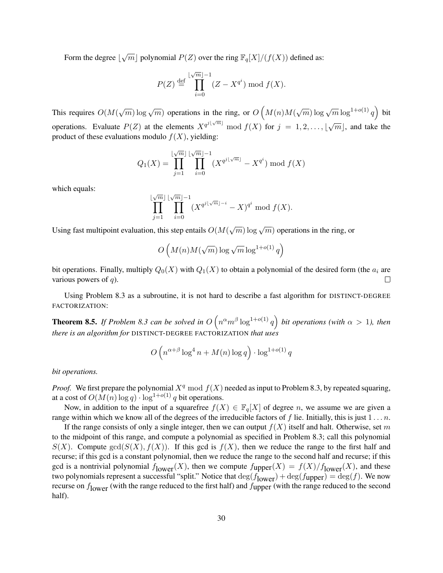Form the degree  $\lfloor \sqrt{m} \rfloor$  polynomial  $P(Z)$  over the ring  $\mathbb{F}_q[X]/(f(X))$  defined as:

$$
P(Z) \stackrel{\text{def}}{=} \prod_{i=0}^{\lfloor \sqrt{m} \rfloor - 1} (Z - X^{q^i}) \bmod f(X).
$$

This requires  $O(M(\sqrt{m}) \log \sqrt{m})$  operations in the ring, or  $O(N(n)M(\sqrt{m}) \log \sqrt{m} \log^{1+o(1)} q)$  bit operations. Evaluate  $P(Z)$  at the elements  $X^{q^{j\lfloor \sqrt{m} \rfloor}} \mod f(X)$  for  $j = 1, 2, ..., |\sqrt{m}|$ , and take the product of these evaluations modulo  $f(X)$ , yielding:

$$
Q_1(X) = \prod_{j=1}^{\lfloor \sqrt{m} \rfloor} \prod_{i=0}^{\lfloor \sqrt{m} \rfloor - 1} (X^{q^{j\lfloor \sqrt{m} \rfloor}} - X^{q^i}) \bmod f(X)
$$

which equals:

$$
\prod_{j=1}^{\lfloor \sqrt{m}\rfloor} \prod_{i=0}^{\lfloor \sqrt{m}\rfloor -1} (X^{q^{j\lfloor \sqrt{m}\rfloor -i}}-X)^{q^{i}} \bmod f(X).
$$

Using fast multipoint evaluation, this step entails  $O(M(\sqrt{m}) \log \sqrt{m})$  operations in the ring, or

$$
O\left(M(n)M(\sqrt{m})\log \sqrt{m}\log^{1+o(1)}q\right)
$$

bit operations. Finally, multiply  $Q_0(X)$  with  $Q_1(X)$  to obtain a polynomial of the desired form (the  $a_i$  are various powers of *q*).  $\Box$ 

Using Problem 8.3 as a subroutine, it is not hard to describe a fast algorithm for DISTINCT-DEGREE FACTORIZATION:

**Theorem 8.5.** If Problem 8.3 can be solved in  $O(n^{\alpha}m^{\beta}\log^{1+o(1)}q)$  bit operations (with  $\alpha > 1$ ), then *there is an algorithm for* DISTINCT-DEGREE FACTORIZATION *that uses*

$$
O\left(n^{\alpha+\beta}\log^4 n + M(n)\log q\right) \cdot \log^{1+o(1)}q
$$

*bit operations.*

*Proof.* We first prepare the polynomial  $X<sup>q</sup>$  mod  $f(X)$  needed as input to Problem 8.3, by repeated squaring, at a cost of  $O(M(n) \log q) \cdot \log^{1+o(1)} q$  bit operations.

Now, in addition to the input of a squarefree  $f(X) \in \mathbb{F}_q[X]$  of degree *n*, we assume we are given a range within which we know all of the degrees of the irreducible factors of *f* lie. Initially, this is just 1 *. . . n*.

If the range consists of only a single integer, then we can output *f*(*X*) itself and halt. Otherwise, set *m* to the midpoint of this range, and compute a polynomial as specified in Problem 8.3; call this polynomial  $S(X)$ . Compute  $gcd(S(X), f(X))$ . If this gcd is  $f(X)$ , then we reduce the range to the first half and recurse; if this gcd is a constant polynomial, then we reduce the range to the second half and recurse; if this gcd is a nontrivial polynomial  $f_{\text{lower}}(X)$ , then we compute  $f_{\text{upper}}(X) = f(X)/f_{\text{lower}}(X)$ , and these two polynomials represent a successful "split." Notice that  $\deg(f_{\text{lower}}) + \deg(f_{\text{upper}}) = \deg(f)$ . We now recurse on *f*lower (with the range reduced to the first half) and *f*upper (with the range reduced to the second half).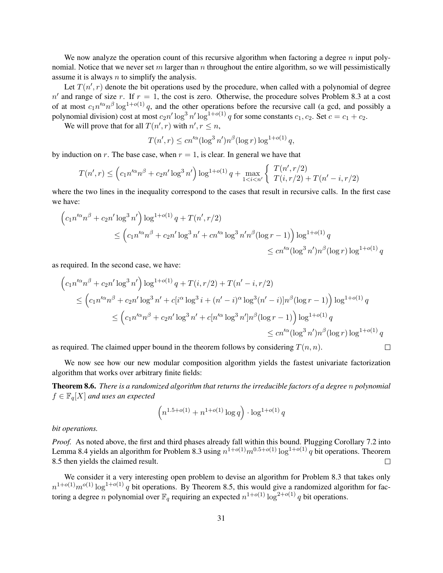We now analyze the operation count of this recursive algorithm when factoring a degree *n* input polynomial. Notice that we never set *m* larger than *n* throughout the entire algorithm, so we will pessimistically assume it is always *n* to simplify the analysis.

Let  $T(n', r)$  denote the bit operations used by the procedure, when called with a polynomial of degree  $n'$  and range of size *r*. If  $r = 1$ , the cost is zero. Otherwise, the procedure solves Problem 8.3 at a cost of at most  $c_1n'^{\alpha}n^{\beta}\log^{1+o(1)}q$ , and the other operations before the recursive call (a gcd, and possibly a polynomial division) cost at most  $c_2n' \log^3 n' \log^{1+o(1)} q$  for some constants  $c_1, c_2$ . Set  $c = c_1 + c_2$ .

We will prove that for all  $T(n', r)$  with  $n', r \leq n$ ,

$$
T(n',r) \le cn'^{\alpha} (\log^3 n') n^{\beta} (\log r) \log^{1+o(1)} q,
$$

by induction on  $r$ . The base case, when  $r = 1$ , is clear. In general we have that

$$
T(n',r) \le \left(c_1 n'^{\alpha} n^{\beta} + c_2 n' \log^3 n'\right) \log^{1+o(1)} q + \max_{1 < i < n'} \left\{ \begin{array}{l} T(n',r/2) \\ T(i,r/2) + T(n'-i,r/2) \end{array} \right.
$$

where the two lines in the inequality correspond to the cases that result in recursive calls. In the first case we have:

$$
\left(c_{1}n'^{\alpha}n^{\beta} + c_{2}n'\log^{3}n'\right)\log^{1+o(1)}q + T(n',r/2)
$$
  
\$\leq \left(c\_{1}n'^{\alpha}n^{\beta} + c\_{2}n'\log^{3}n' + cn'^{\alpha}\log^{3}n'n^{\beta}(\log r - 1)\right)\log^{1+o(1)}q\$  
\$\leq cn'^{\alpha}(\log^{3}n')n^{\beta}(\log r)\log^{1+o(1)}q\$

as required. In the second case, we have:

$$
\begin{aligned}\n\left(c_{1}n^{\prime\alpha}n^{\beta} + c_{2}n^{\prime}\log^{3}n^{\prime}\right)\log^{1+o(1)}q + T(i,r/2) + T(n^{\prime} - i,r/2) \\
&\leq \left(c_{1}n^{\prime\alpha}n^{\beta} + c_{2}n^{\prime}\log^{3}n^{\prime} + c[i^{\alpha}\log^{3}i + (n^{\prime} - i)^{\alpha}\log^{3}(n^{\prime} - i)]n^{\beta}(\log r - 1)\right)\log^{1+o(1)}q \\
&\leq \left(c_{1}n^{\prime\alpha}n^{\beta} + c_{2}n^{\prime}\log^{3}n^{\prime} + c[n^{\prime\alpha}\log^{3}n^{\prime}]n^{\beta}(\log r - 1)\right)\log^{1+o(1)}q \\
&\leq cn^{\prime\alpha}(\log^{3}n^{\prime})n^{\beta}(\log r)\log^{1+o(1)}q\n\end{aligned}
$$

as required. The claimed upper bound in the theorem follows by considering  $T(n, n)$ .

We now see how our new modular composition algorithm yields the fastest univariate factorization algorithm that works over arbitrary finite fields:

 $\Box$ 

Theorem 8.6. *There is a randomized algorithm that returns the irreducible factors of a degree n polynomial*  $f \in \mathbb{F}_q[X]$  *and uses an expected* 

$$
\left(n^{1.5+o(1)}+n^{1+o(1)}\log q\right)\cdot\log^{1+o(1)}q
$$

#### *bit operations.*

*Proof.* As noted above, the first and third phases already fall within this bound. Plugging Corollary 7.2 into Lemma 8.4 yields an algorithm for Problem 8.3 using  $n^{1+o(1)}m^{0.5+o(1)}\log^{1+o(1)}q$  bit operations. Theorem 8.5 then yields the claimed result.  $\Box$ 

We consider it a very interesting open problem to devise an algorithm for Problem 8.3 that takes only  $n^{1+o(1)}m^{o(1)}\log^{1+o(1)}q$  bit operations. By Theorem 8.5, this would give a randomized algorithm for factoring a degree *n* polynomial over  $\mathbb{F}_q$  requiring an expected  $n^{1+o(1)} \log^{2+o(1)} q$  bit operations.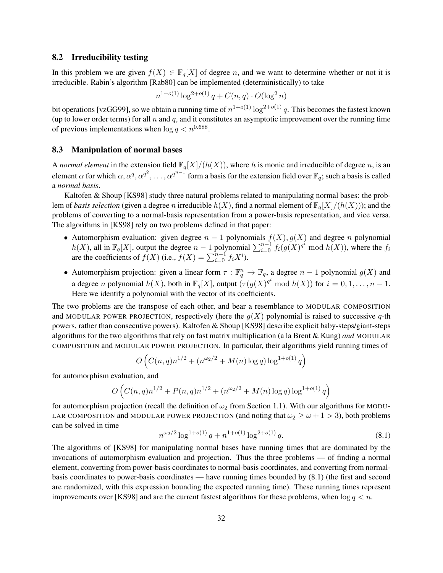### 8.2 Irreducibility testing

In this problem we are given  $f(X) \in \mathbb{F}_q[X]$  of degree *n*, and we want to determine whether or not it is irreducible. Rabin's algorithm [Rab80] can be implemented (deterministically) to take

$$
n^{1+o(1)}\log^{2+o(1)}q + C(n,q) \cdot O(\log^2 n)
$$

bit operations [vzGG99], so we obtain a running time of  $n^{1+o(1)}\log^{2+o(1)}q$ . This becomes the fastest known (up to lower order terms) for all *n* and *q*, and it constitutes an asymptotic improvement over the running time of previous implementations when  $\log q < n^{0.688}$ .

#### 8.3 Manipulation of normal bases

A *normal element* in the extension field  $\mathbb{F}_q[X]/(h(X))$ , where *h* is monic and irreducible of degree *n*, is an element  $\alpha$  for which  $\alpha, \alpha^q, \alpha^{q^2}, \ldots, \alpha^{q^{n-1}}$  form a basis for the extension field over  $\mathbb{F}_q$ ; such a basis is called a *normal basis*.

Kaltofen & Shoup [KS98] study three natural problems related to manipulating normal bases: the problem of *basis selection* (given a degree *n* irreducible  $h(X)$ , find a normal element of  $\mathbb{F}_q[X]/(h(X))$ ); and the problems of converting to a normal-basis representation from a power-basis representation, and vice versa. The algorithms in [KS98] rely on two problems defined in that paper:

- *•* Automorphism evaluation: given degree *n −* 1 polynomials *f*(*X*)*, g*(*X*) and degree *n* polynomial  $h(X)$ , all in  $\mathbb{F}_q[X]$ , output the degree  $n-1$  polynomial  $\sum_{i=0}^{n-1} f_i(g(X)^{q^i} \mod h(X))$ , where the  $f_i$ are the coefficients of  $f(X)$  (i.e.,  $f(X) = \sum_{i=0}^{n-1} f_i X^i$ ).
- Automorphism projection: given a linear form  $\tau : \mathbb{F}_q^n \to \mathbb{F}_q$ , a degree  $n-1$  polynomial  $g(X)$  and a degree *n* polynomial  $h(X)$ , both in  $\mathbb{F}_q[X]$ , output  $(\tau(g(X)^{q^i} \mod h(X))$  for  $i = 0, 1, \ldots, n - 1$ . Here we identify a polynomial with the vector of its coefficients.

The two problems are the transpose of each other, and bear a resemblance to MODULAR COMPOSITION and MODULAR POWER PROJECTION, respectively (here the  $q(X)$  polynomial is raised to successive *q*-th powers, rather than consecutive powers). Kaltofen & Shoup [KS98] describe explicit baby-steps/giant-steps algorithms for the two algorithms that rely on fast matrix multiplication (a la Brent & Kung) *and* MODULAR COMPOSITION and MODULAR POWER PROJECTION. In particular, their algorithms yield running times of

$$
O\left(C(n,q)n^{1/2} + (n^{\omega_2/2} + M(n)\log q)\log^{1+o(1)}q\right)
$$

for automorphism evaluation, and

$$
O\left(C(n,q)n^{1/2} + P(n,q)n^{1/2} + (n^{\omega_2/2} + M(n)\log q)\log^{1+o(1)}q\right)
$$

for automorphism projection (recall the definition of *ω*<sup>2</sup> from Section 1.1). With our algorithms for MODU-LAR COMPOSITION and MODULAR POWER PROJECTION (and noting that  $\omega_2 \geq \omega + 1 > 3$ ), both problems can be solved in time

$$
n^{\omega_2/2} \log^{1+o(1)} q + n^{1+o(1)} \log^{2+o(1)} q.
$$
 (8.1)

The algorithms of [KS98] for manipulating normal bases have running times that are dominated by the invocations of automorphism evaluation and projection. Thus the three problems — of finding a normal element, converting from power-basis coordinates to normal-basis coordinates, and converting from normalbasis coordinates to power-basis coordinates — have running times bounded by (8.1) (the first and second are randomized, with this expression bounding the expected running time). These running times represent improvements over [KS98] and are the current fastest algorithms for these problems, when log *q < n*.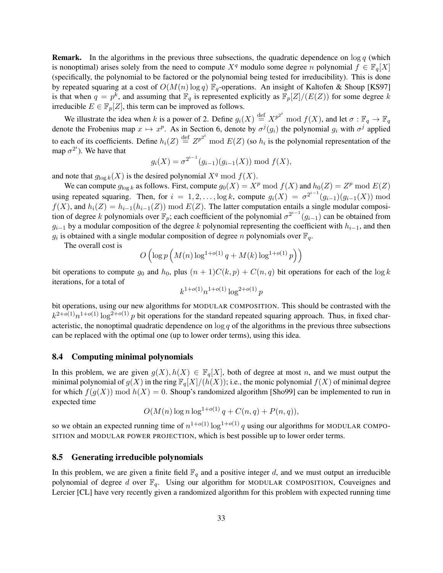Remark. In the algorithms in the previous three subsections, the quadratic dependence on log *q* (which is nonoptimal) arises solely from the need to compute  $X<sup>q</sup>$  modulo some degree *n* polynomial  $f \in \mathbb{F}_q[X]$ (specifically, the polynomial to be factored or the polynomial being tested for irreducibility). This is done by repeated squaring at a cost of  $O(M(n) \log q) \mathbb{F}_q$ -operations. An insight of Kaltofen & Shoup [KS97] is that when  $q = p^k$ , and assuming that  $\mathbb{F}_q$  is represented explicitly as  $\mathbb{F}_p[Z]/(E(Z))$  for some degree k irreducible  $E \in \mathbb{F}_p[Z]$ , this term can be improved as follows.

We illustrate the idea when *k* is a power of 2. Define  $g_i(X) \stackrel{\text{def}}{=} X^{p^{2^i}} \text{ mod } f(X)$ , and let  $\sigma : \mathbb{F}_q \to \mathbb{F}_q$ denote the Frobenius map  $x \mapsto x^p$ . As in Section 6, denote by  $\sigma^j(g_i)$  the polynomial  $g_i$  with  $\sigma^j$  applied to each of its coefficients. Define  $h_i(Z) \stackrel{\text{def}}{=} Z^{p^{2^i}} \mod E(Z)$  (so  $h_i$  is the polynomial representation of the map  $\sigma^{2^i}$ ). We have that

$$
g_i(X) = \sigma^{2^{i-1}}(g_{i-1})(g_{i-1}(X)) \bmod f(X),
$$

and note that  $g_{\log k}(X)$  is the desired polynomial  $X^q \bmod f(X)$ .

We can compute  $g_{\log k}$  as follows. First, compute  $g_0(X) = X^p \bmod f(X)$  and  $h_0(Z) = Z^p \bmod E(Z)$ using repeated squaring. Then, for  $i = 1, 2, \ldots$ ,  $\log k$ , compute  $g_i(X) = \sigma^{2^{i-1}}(g_{i-1})(g_{i-1}(X)) \mod k$  $f(X)$ , and  $h_i(Z) = h_{i-1}(h_{i-1}(Z)) \text{ mod } E(Z)$ . The latter computation entails a single modular composition of degree *k* polynomials over  $\mathbb{F}_p$ ; each coefficient of the polynomial  $\sigma^{2^{i-1}}(g_{i-1})$  can be obtained from *gi−*<sup>1</sup> by a modular composition of the degree *k* polynomial representing the coefficient with *hi−*1, and then  $g_i$  is obtained with a single modular composition of degree *n* polynomials over  $\mathbb{F}_q$ .

The overall cost is

$$
O\left(\log p\left(M(n)\log^{1+o(1)}q + M(k)\log^{1+o(1)}p\right)\right)
$$

bit operations to compute  $g_0$  and  $h_0$ , plus  $(n + 1)C(k, p) + C(n, q)$  bit operations for each of the log k iterations, for a total of

$$
k^{1+o(1)}n^{1+o(1)}\log^{2+o(1)}p
$$

bit operations, using our new algorithms for MODULAR COMPOSITION. This should be contrasted with the  $k^{2+o(1)}n^{1+o(1)}\log^{2+o(1)}p$  bit operations for the standard repeated squaring approach. Thus, in fixed characteristic, the nonoptimal quadratic dependence on log *q* of the algorithms in the previous three subsections can be replaced with the optimal one (up to lower order terms), using this idea.

### 8.4 Computing minimal polynomials

In this problem, we are given  $g(X)$ ,  $h(X) \in \mathbb{F}_q[X]$ , both of degree at most *n*, and we must output the minimal polynomial of  $g(X)$  in the ring  $\mathbb{F}_q[X]/(h(X))$ ; i.e., the monic polynomial  $f(X)$  of minimal degree for which  $f(g(X)) \mod h(X) = 0$ . Shoup's randomized algorithm [Sho99] can be implemented to run in expected time

$$
O(M(n)\log n \log^{1+o(1)} q + C(n,q) + P(n,q)),
$$

so we obtain an expected running time of  $n^{1+o(1)} \log^{1+o(1)} q$  using our algorithms for MODULAR COMPO-SITION and MODULAR POWER PROJECTION, which is best possible up to lower order terms.

### 8.5 Generating irreducible polynomials

In this problem, we are given a finite field  $\mathbb{F}_q$  and a positive integer *d*, and we must output an irreducible polynomial of degree *d* over  $\mathbb{F}_q$ . Using our algorithm for MODULAR COMPOSITION, Couveignes and Lercier [CL] have very recently given a randomized algorithm for this problem with expected running time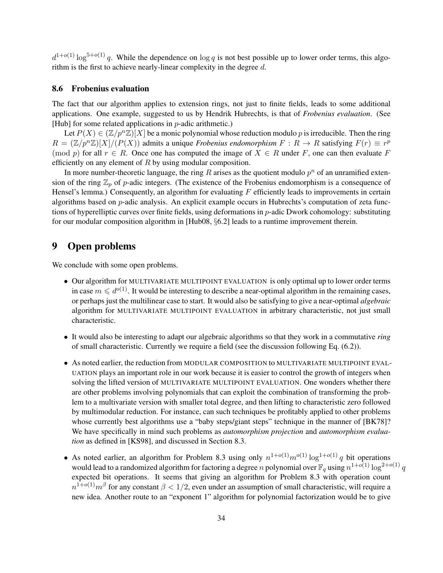$d^{1+o(1)}\log^{5+o(1)}q$ . While the dependence on  $\log q$  is not best possible up to lower order terms, this algorithm is the first to achieve nearly-linear complexity in the degree *d*.

### 8.6 Frobenius evaluation

The fact that our algorithm applies to extension rings, not just to finite fields, leads to some additional applications. One example, suggested to us by Hendrik Hubrechts, is that of *Frobenius evaluation*. (See [Hub] for some related applications in *p*-adic arithmetic.)

Let  $P(X) \in (\mathbb{Z}/p^n\mathbb{Z})[X]$  be a monic polynomial whose reduction modulo p is irreducible. Then the ring  $R = (\mathbb{Z}/p^n\mathbb{Z})[X]/(P(X))$  admits a unique *Frobenius endomorphism*  $F: R \to R$  satisfying  $F(r) \equiv r^p$ (mod *p*) for all  $r \in R$ . Once one has computed the image of  $X \in R$  under *F*, one can then evaluate *F* efficiently on any element of *R* by using modular composition.

In more number-theoretic language, the ring  $R$  arises as the quotient modulo  $p<sup>n</sup>$  of an unramified extension of the ring  $\mathbb{Z}_p$  of *p*-adic integers. (The existence of the Frobenius endomorphism is a consequence of Hensel's lemma.) Consequently, an algorithm for evaluating F efficiently leads to improvements in certain algorithms based on *p*-adic analysis. An explicit example occurs in Hubrechts's computation of zeta functions of hyperelliptic curves over finite fields, using deformations in *p*-adic Dwork cohomology: substituting for our modular composition algorithm in [Hub08, *§*6.2] leads to a runtime improvement therein.

# 9 Open problems

We conclude with some open problems.

- Our algorithm for MULTIVARIATE MULTIPOINT EVALUATION is only optimal up to lower order terms in case  $m \leq d^{o(1)}$ . It would be interesting to describe a near-optimal algorithm in the remaining cases, or perhaps just the multilinear case to start. It would also be satisfying to give a near-optimal *algebraic* algorithm for MULTIVARIATE MULTIPOINT EVALUATION in arbitrary characteristic, not just small characteristic.
- *•* It would also be interesting to adapt our algebraic algorithms so that they work in a commutative *ring* of small characteristic. Currently we require a field (see the discussion following Eq. (6.2)).
- As noted earlier, the reduction from MODULAR COMPOSITION to MULTIVARIATE MULTIPOINT EVAL-UATION plays an important role in our work because it is easier to control the growth of integers when solving the lifted version of MULTIVARIATE MULTIPOINT EVALUATION. One wonders whether there are other problems involving polynomials that can exploit the combination of transforming the problem to a multivariate version with smaller total degree, and then lifting to characteristic zero followed by multimodular reduction. For instance, can such techniques be profitably applied to other problems whose currently best algorithms use a "baby steps/giant steps" technique in the manner of [BK78]? We have specifically in mind such problems as *automorphism projection* and *automorphism evaluation* as defined in [KS98], and discussed in Section 8.3.
- As noted earlier, an algorithm for Problem 8.3 using only  $n^{1+o(1)}m^{o(1)}\log^{1+o(1)}q$  bit operations would lead to a randomized algorithm for factoring a degree *n* polynomial over  $\mathbb{F}_q$  using  $n^{1+o(1)}\log^{2+o(1)}q$ expected bit operations. It seems that giving an algorithm for Problem 8.3 with operation count  $n^{1+o(1)}m^{\beta}$  for any constant  $\beta < 1/2$ , even under an assumption of small characteristic, will require a new idea. Another route to an "exponent 1" algorithm for polynomial factorization would be to give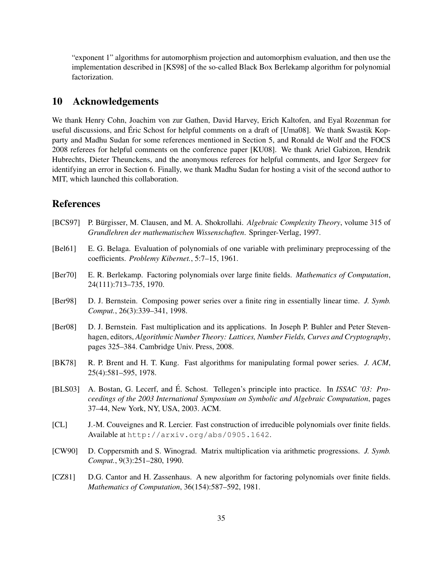"exponent 1" algorithms for automorphism projection and automorphism evaluation, and then use the implementation described in [KS98] of the so-called Black Box Berlekamp algorithm for polynomial factorization.

### 10 Acknowledgements

We thank Henry Cohn, Joachim von zur Gathen, David Harvey, Erich Kaltofen, and Eyal Rozenman for useful discussions, and Eric Schost for helpful comments on a draft of [Uma08]. We thank Swastik Kop- ´ party and Madhu Sudan for some references mentioned in Section 5, and Ronald de Wolf and the FOCS 2008 referees for helpful comments on the conference paper [KU08]. We thank Ariel Gabizon, Hendrik Hubrechts, Dieter Theunckens, and the anonymous referees for helpful comments, and Igor Sergeev for identifying an error in Section 6. Finally, we thank Madhu Sudan for hosting a visit of the second author to MIT, which launched this collaboration.

# References

- [BCS97] P. Bürgisser, M. Clausen, and M. A. Shokrollahi. *Algebraic Complexity Theory*, volume 315 of *Grundlehren der mathematischen Wissenschaften*. Springer-Verlag, 1997.
- [Bel61] E. G. Belaga. Evaluation of polynomials of one variable with preliminary preprocessing of the coefficients. *Problemy Kibernet.*, 5:7–15, 1961.
- [Ber70] E. R. Berlekamp. Factoring polynomials over large finite fields. *Mathematics of Computation*, 24(111):713–735, 1970.
- [Ber98] D. J. Bernstein. Composing power series over a finite ring in essentially linear time. *J. Symb. Comput.*, 26(3):339–341, 1998.
- [Ber08] D. J. Bernstein. Fast multiplication and its applications. In Joseph P. Buhler and Peter Stevenhagen, editors, *Algorithmic Number Theory: Lattices, Number Fields, Curves and Cryptography*, pages 325–384. Cambridge Univ. Press, 2008.
- [BK78] R. P. Brent and H. T. Kung. Fast algorithms for manipulating formal power series. *J. ACM*, 25(4):581–595, 1978.
- [BLS03] A. Bostan, G. Lecerf, and E. Schost. Tellegen's principle into practice. In ´ *ISSAC '03: Proceedings of the 2003 International Symposium on Symbolic and Algebraic Computation*, pages 37–44, New York, NY, USA, 2003. ACM.
- [CL] J.-M. Couveignes and R. Lercier. Fast construction of irreducible polynomials over finite fields. Available at http://arxiv.org/abs/0905.1642.
- [CW90] D. Coppersmith and S. Winograd. Matrix multiplication via arithmetic progressions. *J. Symb. Comput.*, 9(3):251–280, 1990.
- [CZ81] D.G. Cantor and H. Zassenhaus. A new algorithm for factoring polynomials over finite fields. *Mathematics of Computation*, 36(154):587–592, 1981.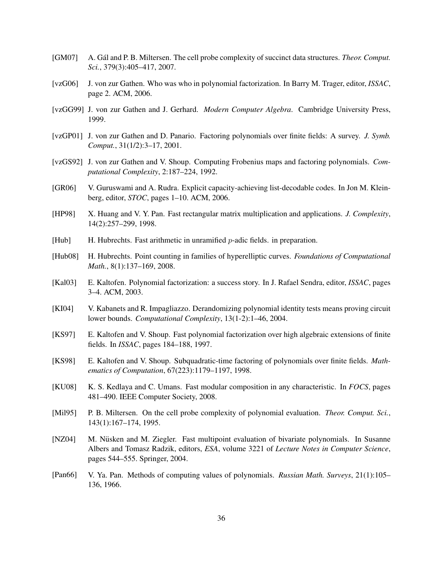- [GM07] A. Gál and P. B. Miltersen. The cell probe complexity of succinct data structures. *Theor. Comput. Sci.*, 379(3):405–417, 2007.
- [vzG06] J. von zur Gathen. Who was who in polynomial factorization. In Barry M. Trager, editor, *ISSAC*, page 2. ACM, 2006.
- [vzGG99] J. von zur Gathen and J. Gerhard. *Modern Computer Algebra*. Cambridge University Press, 1999.
- [vzGP01] J. von zur Gathen and D. Panario. Factoring polynomials over finite fields: A survey. *J. Symb. Comput.*, 31(1/2):3–17, 2001.
- [vzGS92] J. von zur Gathen and V. Shoup. Computing Frobenius maps and factoring polynomials. *Computational Complexity*, 2:187–224, 1992.
- [GR06] V. Guruswami and A. Rudra. Explicit capacity-achieving list-decodable codes. In Jon M. Kleinberg, editor, *STOC*, pages 1–10. ACM, 2006.
- [HP98] X. Huang and V. Y. Pan. Fast rectangular matrix multiplication and applications. *J. Complexity*, 14(2):257–299, 1998.
- [Hub] H. Hubrechts. Fast arithmetic in unramified *p*-adic fields. in preparation.
- [Hub08] H. Hubrechts. Point counting in families of hyperelliptic curves. *Foundations of Computational Math.*, 8(1):137–169, 2008.
- [Kal03] E. Kaltofen. Polynomial factorization: a success story. In J. Rafael Sendra, editor, *ISSAC*, pages 3–4. ACM, 2003.
- [KI04] V. Kabanets and R. Impagliazzo. Derandomizing polynomial identity tests means proving circuit lower bounds. *Computational Complexity*, 13(1-2):1–46, 2004.
- [KS97] E. Kaltofen and V. Shoup. Fast polynomial factorization over high algebraic extensions of finite fields. In *ISSAC*, pages 184–188, 1997.
- [KS98] E. Kaltofen and V. Shoup. Subquadratic-time factoring of polynomials over finite fields. *Mathematics of Computation*, 67(223):1179–1197, 1998.
- [KU08] K. S. Kedlaya and C. Umans. Fast modular composition in any characteristic. In *FOCS*, pages 481–490. IEEE Computer Society, 2008.
- [Mil95] P. B. Miltersen. On the cell probe complexity of polynomial evaluation. *Theor. Comput. Sci.*, 143(1):167–174, 1995.
- [NZ04] M. Nüsken and M. Ziegler. Fast multipoint evaluation of bivariate polynomials. In Susanne Albers and Tomasz Radzik, editors, *ESA*, volume 3221 of *Lecture Notes in Computer Science*, pages 544–555. Springer, 2004.
- [Pan66] V. Ya. Pan. Methods of computing values of polynomials. *Russian Math. Surveys*, 21(1):105– 136, 1966.